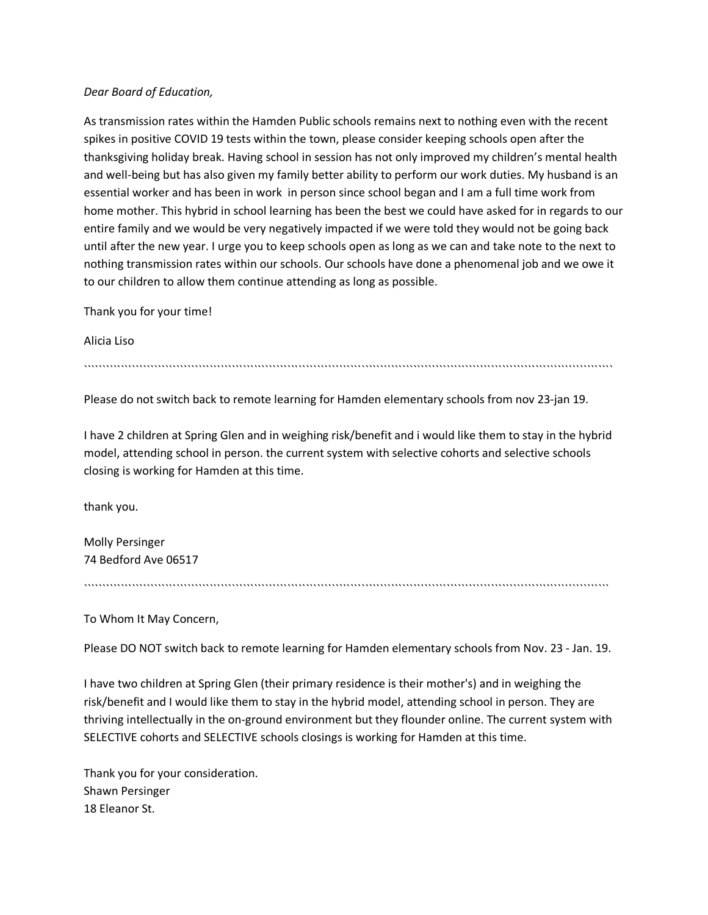## *Dear Board of Education,*

As transmission rates within the Hamden Public schools remains next to nothing even with the recent spikes in positive COVID 19 tests within the town, please consider keeping schools open after the thanksgiving holiday break. Having school in session has not only improved my children's mental health and well-being but has also given my family better ability to perform our work duties. My husband is an essential worker and has been in work in person since school began and I am a full time work from home mother. This hybrid in school learning has been the best we could have asked for in regards to our entire family and we would be very negatively impacted if we were told they would not be going back until after the new year. I urge you to keep schools open as long as we can and take note to the next to nothing transmission rates within our schools. Our schools have done a phenomenal job and we owe it to our children to allow them continue attending as long as possible.

Thank you for your time!

Alicia Liso

```````````````````````````````````````````````````````````````````````````````````````````````````````````````````````````````````````````````

Please do not switch back to remote learning for Hamden elementary schools from nov 23-jan 19.

I have 2 children at Spring Glen and in weighing risk/benefit and i would like them to stay in the hybrid model, attending school in person. the current system with selective cohorts and selective schools closing is working for Hamden at this time.

thank you.

Molly Persinger 74 Bedford Ave 06517

``````````````````````````````````````````````````````````````````````````````````````````````````````````````````````````````````````````````

To Whom It May Concern,

Please DO NOT switch back to remote learning for Hamden elementary schools from Nov. 23 - Jan. 19.

I have two children at Spring Glen (their primary residence is their mother's) and in weighing the risk/benefit and I would like them to stay in the hybrid model, attending school in person. They are thriving intellectually in the on-ground environment but they flounder online. The current system with SELECTIVE cohorts and SELECTIVE schools closings is working for Hamden at this time.

Thank you for your consideration. Shawn Persinger 18 Eleanor St.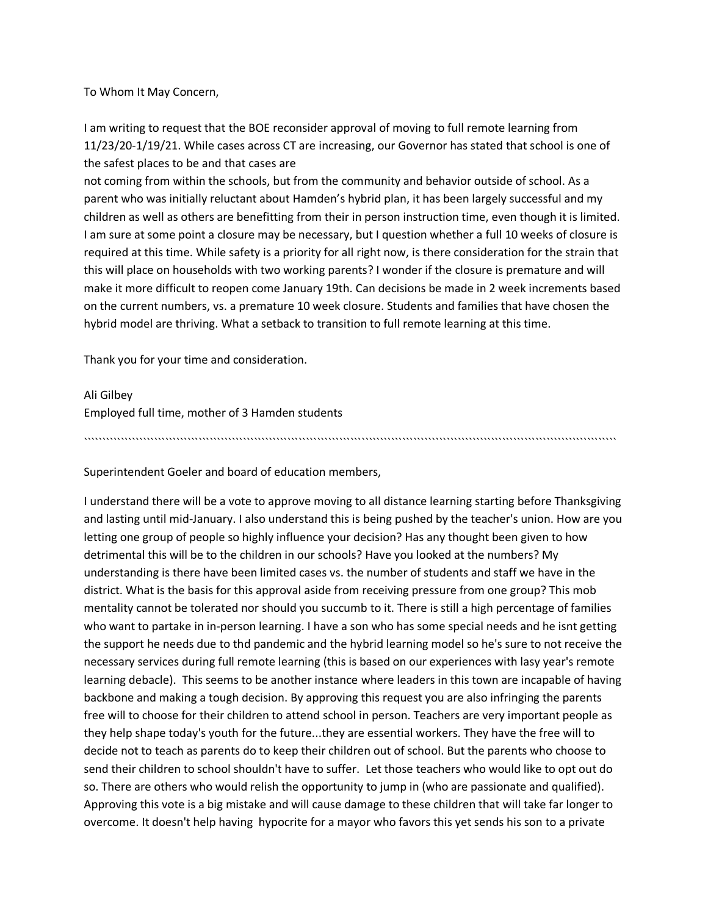To Whom It May Concern,

I am writing to request that the BOE reconsider approval of moving to full remote learning from 11/23/20-1/19/21. While cases across CT are increasing, our Governor has stated that school is one of the safest places to be and that cases are

not coming from within the schools, but from the community and behavior outside of school. As a parent who was initially reluctant about Hamden's hybrid plan, it has been largely successful and my children as well as others are benefitting from their in person instruction time, even though it is limited. I am sure at some point a closure may be necessary, but I question whether a full 10 weeks of closure is required at this time. While safety is a priority for all right now, is there consideration for the strain that this will place on households with two working parents? I wonder if the closure is premature and will make it more difficult to reopen come January 19th. Can decisions be made in 2 week increments based on the current numbers, vs. a premature 10 week closure. Students and families that have chosen the hybrid model are thriving. What a setback to transition to full remote learning at this time.

Thank you for your time and consideration.

Ali Gilbey

Employed full time, mother of 3 Hamden students

````````````````````````````````````````````````````````````````````````````````````````````````````````````````````````````````````````````````

Superintendent Goeler and board of education members,

I understand there will be a vote to approve moving to all distance learning starting before Thanksgiving and lasting until mid-January. I also understand this is being pushed by the teacher's union. How are you letting one group of people so highly influence your decision? Has any thought been given to how detrimental this will be to the children in our schools? Have you looked at the numbers? My understanding is there have been limited cases vs. the number of students and staff we have in the district. What is the basis for this approval aside from receiving pressure from one group? This mob mentality cannot be tolerated nor should you succumb to it. There is still a high percentage of families who want to partake in in-person learning. I have a son who has some special needs and he isnt getting the support he needs due to thd pandemic and the hybrid learning model so he's sure to not receive the necessary services during full remote learning (this is based on our experiences with lasy year's remote learning debacle). This seems to be another instance where leaders in this town are incapable of having backbone and making a tough decision. By approving this request you are also infringing the parents free will to choose for their children to attend school in person. Teachers are very important people as they help shape today's youth for the future...they are essential workers. They have the free will to decide not to teach as parents do to keep their children out of school. But the parents who choose to send their children to school shouldn't have to suffer. Let those teachers who would like to opt out do so. There are others who would relish the opportunity to jump in (who are passionate and qualified). Approving this vote is a big mistake and will cause damage to these children that will take far longer to overcome. It doesn't help having hypocrite for a mayor who favors this yet sends his son to a private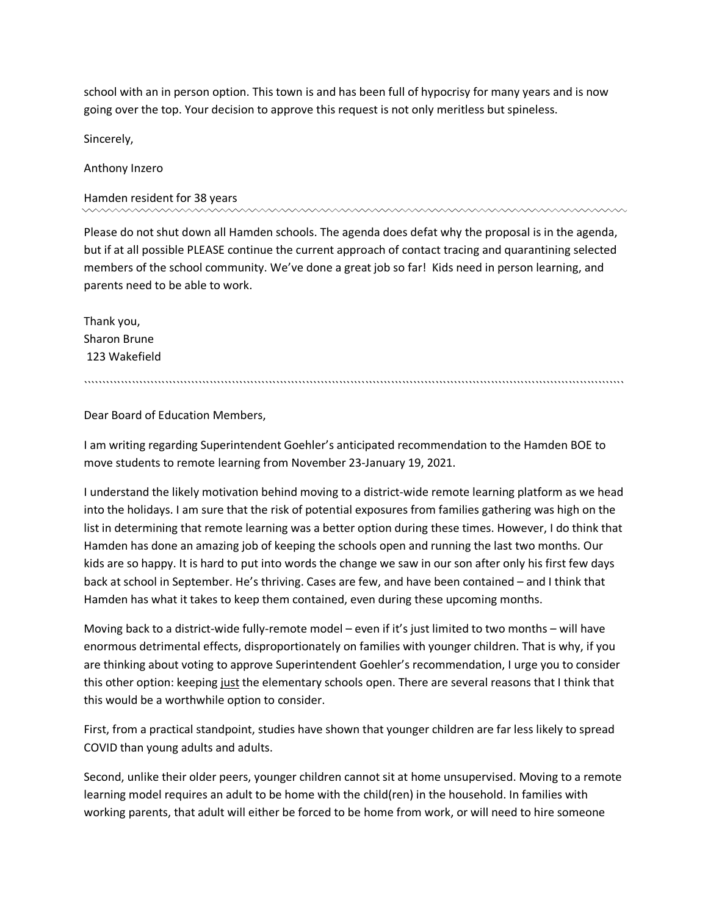school with an in person option. This town is and has been full of hypocrisy for many years and is now going over the top. Your decision to approve this request is not only meritless but spineless.

Sincerely,

Anthony Inzero

Hamden resident for 38 years

Please do not shut down all Hamden schools. The agenda does defat why the proposal is in the agenda, but if at all possible PLEASE continue the current approach of contact tracing and quarantining selected members of the school community. We've done a great job so far! Kids need in person learning, and parents need to be able to work.

Thank you, Sharon Brune 123 Wakefield

``````````````````````````````````````````````````````````````````````````````````````````````````````````````````````````````````````````````````

Dear Board of Education Members,

I am writing regarding Superintendent Goehler's anticipated recommendation to the Hamden BOE to move students to remote learning from November 23-January 19, 2021.

I understand the likely motivation behind moving to a district-wide remote learning platform as we head into the holidays. I am sure that the risk of potential exposures from families gathering was high on the list in determining that remote learning was a better option during these times. However, I do think that Hamden has done an amazing job of keeping the schools open and running the last two months. Our kids are so happy. It is hard to put into words the change we saw in our son after only his first few days back at school in September. He's thriving. Cases are few, and have been contained – and I think that Hamden has what it takes to keep them contained, even during these upcoming months.

Moving back to a district-wide fully-remote model – even if it's just limited to two months – will have enormous detrimental effects, disproportionately on families with younger children. That is why, if you are thinking about voting to approve Superintendent Goehler's recommendation, I urge you to consider this other option: keeping just the elementary schools open. There are several reasons that I think that this would be a worthwhile option to consider.

First, from a practical standpoint, studies have shown that younger children are far less likely to spread COVID than young adults and adults.

Second, unlike their older peers, younger children cannot sit at home unsupervised. Moving to a remote learning model requires an adult to be home with the child(ren) in the household. In families with working parents, that adult will either be forced to be home from work, or will need to hire someone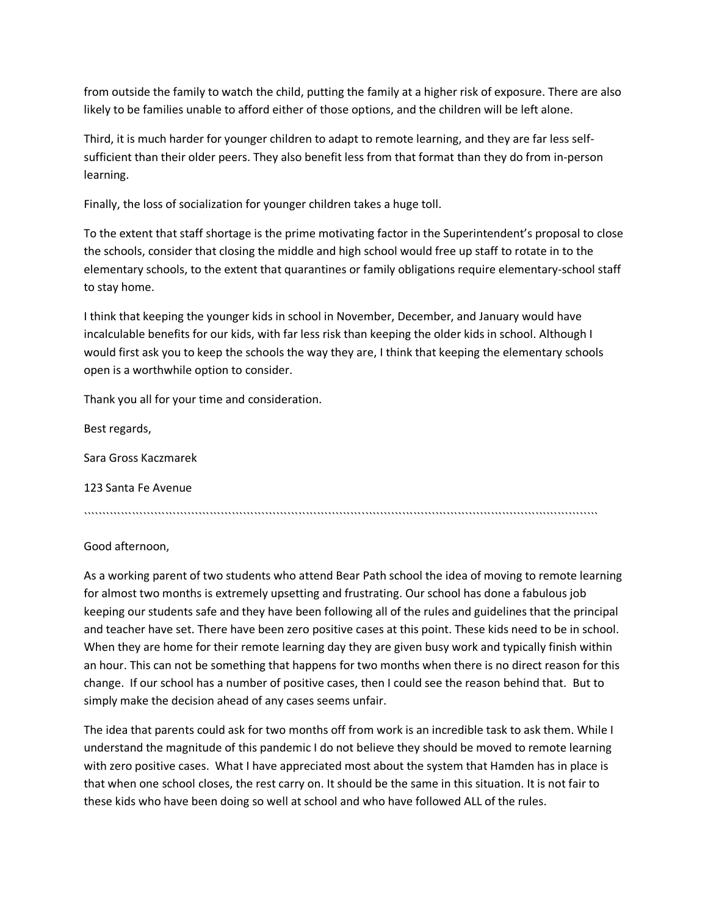from outside the family to watch the child, putting the family at a higher risk of exposure. There are also likely to be families unable to afford either of those options, and the children will be left alone.

Third, it is much harder for younger children to adapt to remote learning, and they are far less selfsufficient than their older peers. They also benefit less from that format than they do from in-person learning.

Finally, the loss of socialization for younger children takes a huge toll.

To the extent that staff shortage is the prime motivating factor in the Superintendent's proposal to close the schools, consider that closing the middle and high school would free up staff to rotate in to the elementary schools, to the extent that quarantines or family obligations require elementary-school staff to stay home.

I think that keeping the younger kids in school in November, December, and January would have incalculable benefits for our kids, with far less risk than keeping the older kids in school. Although I would first ask you to keep the schools the way they are, I think that keeping the elementary schools open is a worthwhile option to consider.

Thank you all for your time and consideration.

Best regards,

Sara Gross Kaczmarek

123 Santa Fe Avenue

```````````````````````````````````````````````````````````````````````````````````````````````````````````````````````````````````````````

Good afternoon,

As a working parent of two students who attend Bear Path school the idea of moving to remote learning for almost two months is extremely upsetting and frustrating. Our school has done a fabulous job keeping our students safe and they have been following all of the rules and guidelines that the principal and teacher have set. There have been zero positive cases at this point. These kids need to be in school. When they are home for their remote learning day they are given busy work and typically finish within an hour. This can not be something that happens for two months when there is no direct reason for this change. If our school has a number of positive cases, then I could see the reason behind that. But to simply make the decision ahead of any cases seems unfair.

The idea that parents could ask for two months off from work is an incredible task to ask them. While I understand the magnitude of this pandemic I do not believe they should be moved to remote learning with zero positive cases. What I have appreciated most about the system that Hamden has in place is that when one school closes, the rest carry on. It should be the same in this situation. It is not fair to these kids who have been doing so well at school and who have followed ALL of the rules.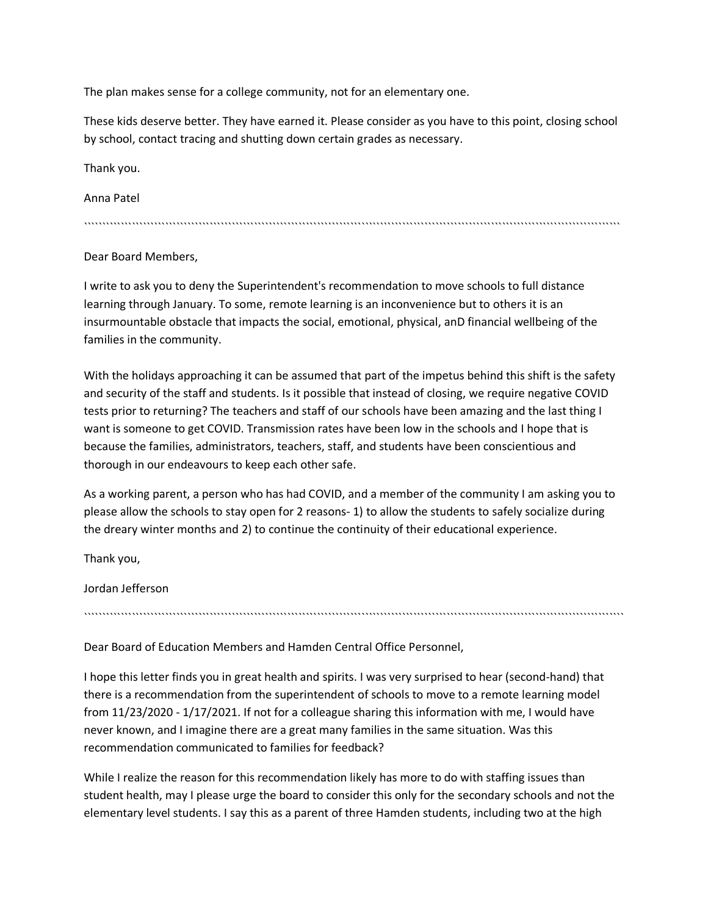The plan makes sense for a college community, not for an elementary one.

These kids deserve better. They have earned it. Please consider as you have to this point, closing school by school, contact tracing and shutting down certain grades as necessary.

Thank you.

Anna Patel

`````````````````````````````````````````````````````````````````````````````````````````````````````````````````````````````````````````````````

# Dear Board Members,

I write to ask you to deny the Superintendent's recommendation to move schools to full distance learning through January. To some, remote learning is an inconvenience but to others it is an insurmountable obstacle that impacts the social, emotional, physical, anD financial wellbeing of the families in the community.

With the holidays approaching it can be assumed that part of the impetus behind this shift is the safety and security of the staff and students. Is it possible that instead of closing, we require negative COVID tests prior to returning? The teachers and staff of our schools have been amazing and the last thing I want is someone to get COVID. Transmission rates have been low in the schools and I hope that is because the families, administrators, teachers, staff, and students have been conscientious and thorough in our endeavours to keep each other safe.

As a working parent, a person who has had COVID, and a member of the community I am asking you to please allow the schools to stay open for 2 reasons- 1) to allow the students to safely socialize during the dreary winter months and 2) to continue the continuity of their educational experience.

``````````````````````````````````````````````````````````````````````````````````````````````````````````````````````````````````````````````````

Thank you,

Jordan Jefferson

Dear Board of Education Members and Hamden Central Office Personnel,

I hope this letter finds you in great health and spirits. I was very surprised to hear (second-hand) that there is a recommendation from the superintendent of schools to move to a remote learning model from 11/23/2020 - 1/17/2021. If not for a colleague sharing this information with me, I would have never known, and I imagine there are a great many families in the same situation. Was this recommendation communicated to families for feedback?

While I realize the reason for this recommendation likely has more to do with staffing issues than student health, may I please urge the board to consider this only for the secondary schools and not the elementary level students. I say this as a parent of three Hamden students, including two at the high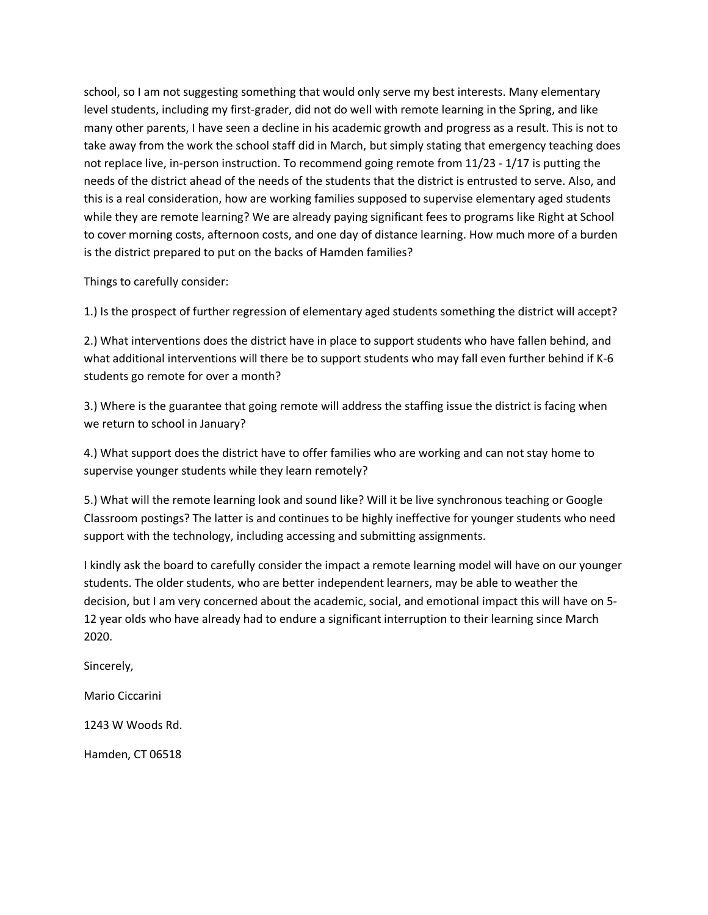school, so I am not suggesting something that would only serve my best interests. Many elementary level students, including my first-grader, did not do well with remote learning in the Spring, and like many other parents, I have seen a decline in his academic growth and progress as a result. This is not to take away from the work the school staff did in March, but simply stating that emergency teaching does not replace live, in-person instruction. To recommend going remote from 11/23 - 1/17 is putting the needs of the district ahead of the needs of the students that the district is entrusted to serve. Also, and this is a real consideration, how are working families supposed to supervise elementary aged students while they are remote learning? We are already paying significant fees to programs like Right at School to cover morning costs, afternoon costs, and one day of distance learning. How much more of a burden is the district prepared to put on the backs of Hamden families?

Things to carefully consider:

1.) Is the prospect of further regression of elementary aged students something the district will accept?

2.) What interventions does the district have in place to support students who have fallen behind, and what additional interventions will there be to support students who may fall even further behind if K-6 students go remote for over a month?

3.) Where is the guarantee that going remote will address the staffing issue the district is facing when we return to school in January?

4.) What support does the district have to offer families who are working and can not stay home to supervise younger students while they learn remotely?

5.) What will the remote learning look and sound like? Will it be live synchronous teaching or Google Classroom postings? The latter is and continues to be highly ineffective for younger students who need support with the technology, including accessing and submitting assignments.

I kindly ask the board to carefully consider the impact a remote learning model will have on our younger students. The older students, who are better independent learners, may be able to weather the decision, but I am very concerned about the academic, social, and emotional impact this will have on 5- 12 year olds who have already had to endure a significant interruption to their learning since March 2020.

Sincerely,

Mario Ciccarini

1243 W Woods Rd.

Hamden, CT 06518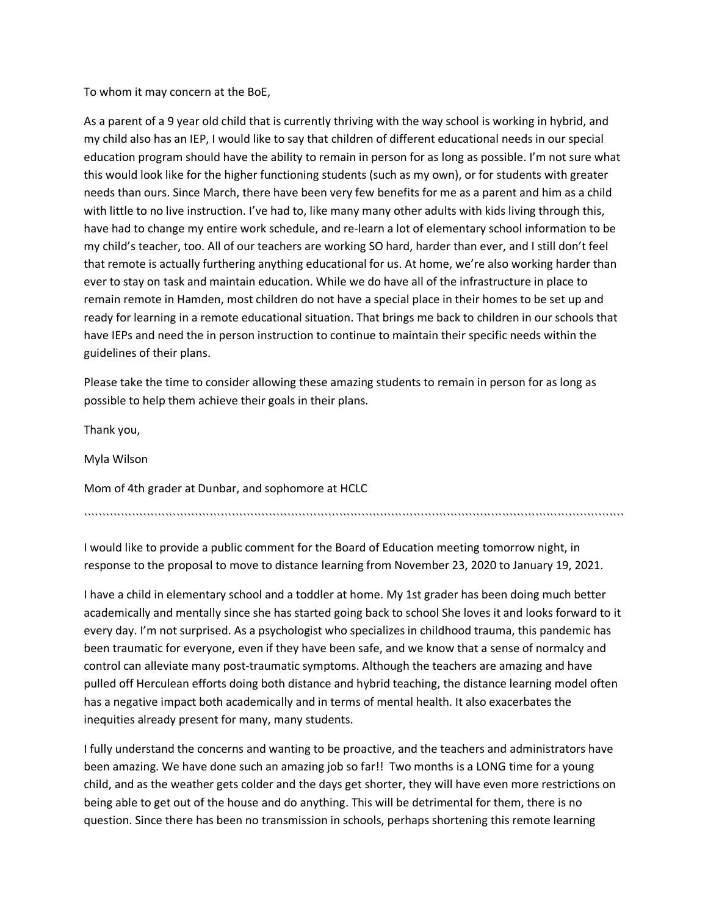To whom it may concern at the BoE,

As a parent of a 9 year old child that is currently thriving with the way school is working in hybrid, and my child also has an IEP, I would like to say that children of different educational needs in our special education program should have the ability to remain in person for as long as possible. I'm not sure what this would look like for the higher functioning students (such as my own), or for students with greater needs than ours. Since March, there have been very few benefits for me as a parent and him as a child with little to no live instruction. I've had to, like many many other adults with kids living through this, have had to change my entire work schedule, and re-learn a lot of elementary school information to be my child's teacher, too. All of our teachers are working SO hard, harder than ever, and I still don't feel that remote is actually furthering anything educational for us. At home, we're also working harder than ever to stay on task and maintain education. While we do have all of the infrastructure in place to remain remote in Hamden, most children do not have a special place in their homes to be set up and ready for learning in a remote educational situation. That brings me back to children in our schools that have IEPs and need the in person instruction to continue to maintain their specific needs within the guidelines of their plans.

Please take the time to consider allowing these amazing students to remain in person for as long as possible to help them achieve their goals in their plans.

Thank you,

Myla Wilson

Mom of 4th grader at Dunbar, and sophomore at HCLC

``````````````````````````````````````````````````````````````````````````````````````````````````````````````````````````````````````````````````

I would like to provide a public comment for the Board of Education meeting tomorrow night, in response to the proposal to move to distance learning from November 23, 2020 to January 19, 2021.

I have a child in elementary school and a toddler at home. My 1st grader has been doing much better academically and mentally since she has started going back to school She loves it and looks forward to it every day. I'm not surprised. As a psychologist who specializes in childhood trauma, this pandemic has been traumatic for everyone, even if they have been safe, and we know that a sense of normalcy and control can alleviate many post-traumatic symptoms. Although the teachers are amazing and have pulled off Herculean efforts doing both distance and hybrid teaching, the distance learning model often has a negative impact both academically and in terms of mental health. It also exacerbates the inequities already present for many, many students.

I fully understand the concerns and wanting to be proactive, and the teachers and administrators have been amazing. We have done such an amazing job so far!! Two months is a LONG time for a young child, and as the weather gets colder and the days get shorter, they will have even more restrictions on being able to get out of the house and do anything. This will be detrimental for them, there is no question. Since there has been no transmission in schools, perhaps shortening this remote learning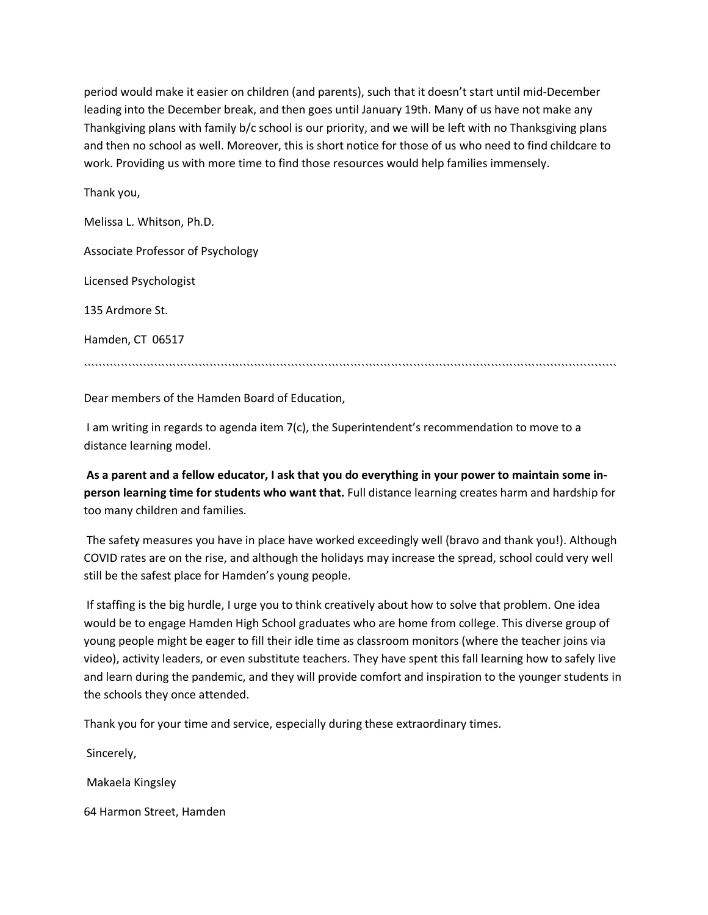period would make it easier on children (and parents), such that it doesn't start until mid-December leading into the December break, and then goes until January 19th. Many of us have not make any Thankgiving plans with family b/c school is our priority, and we will be left with no Thanksgiving plans and then no school as well. Moreover, this is short notice for those of us who need to find childcare to work. Providing us with more time to find those resources would help families immensely.

Thank you,

Melissa L. Whitson, Ph.D. Associate Professor of Psychology Licensed Psychologist 135 Ardmore St. Hamden, CT 06517 ````````````````````````````````````````````````````````````````````````````````````````````````````````````````````````````````````````````````

Dear members of the Hamden Board of Education,

I am writing in regards to agenda item 7(c), the Superintendent's recommendation to move to a distance learning model.

**As a parent and a fellow educator, I ask that you do everything in your power to maintain some inperson learning time for students who want that.** Full distance learning creates harm and hardship for too many children and families.

The safety measures you have in place have worked exceedingly well (bravo and thank you!). Although COVID rates are on the rise, and although the holidays may increase the spread, school could very well still be the safest place for Hamden's young people.

If staffing is the big hurdle, I urge you to think creatively about how to solve that problem. One idea would be to engage Hamden High School graduates who are home from college. This diverse group of young people might be eager to fill their idle time as classroom monitors (where the teacher joins via video), activity leaders, or even substitute teachers. They have spent this fall learning how to safely live and learn during the pandemic, and they will provide comfort and inspiration to the younger students in the schools they once attended.

Thank you for your time and service, especially during these extraordinary times.

Sincerely,

Makaela Kingsley

64 Harmon Street, Hamden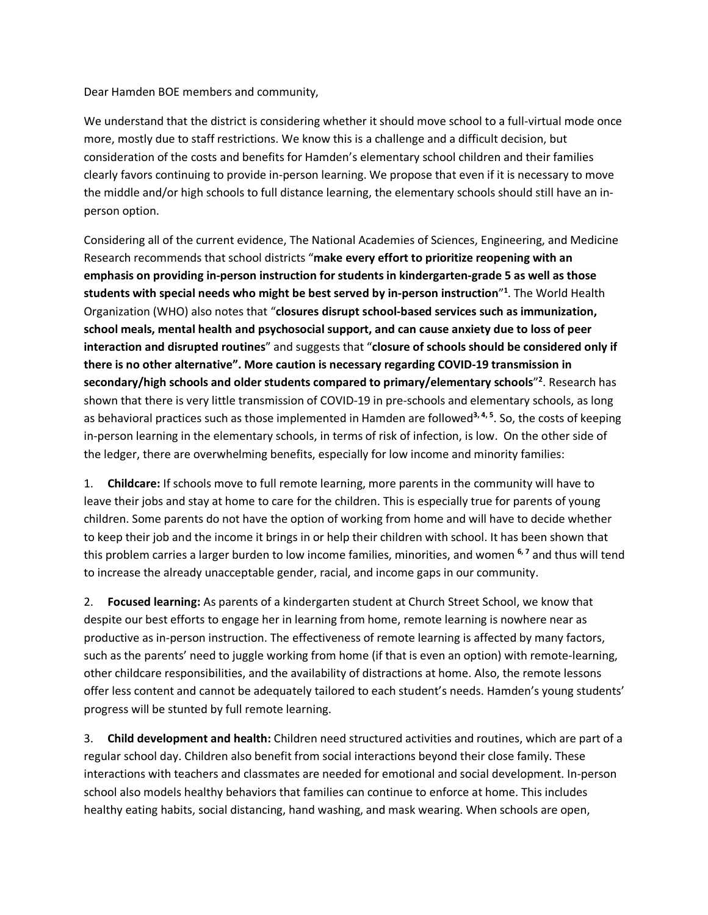Dear Hamden BOE members and community,

We understand that the district is considering whether it should move school to a full-virtual mode once more, mostly due to staff restrictions. We know this is a challenge and a difficult decision, but consideration of the costs and benefits for Hamden's elementary school children and their families clearly favors continuing to provide in-person learning. We propose that even if it is necessary to move the middle and/or high schools to full distance learning, the elementary schools should still have an inperson option.

Considering all of the current evidence, The National Academies of Sciences, Engineering, and Medicine Research recommends that school districts "**make every effort to prioritize reopening with an emphasis on providing in-person instruction for students in kindergarten-grade 5 as well as those students with special needs who might be best served by in-person instruction**"**<sup>1</sup>** . The World Health Organization (WHO) also notes that "**closures disrupt school-based services such as immunization, school meals, mental health and psychosocial support, and can cause anxiety due to loss of peer interaction and disrupted routines**" and suggests that "**closure of schools should be considered only if there is no other alternative". More caution is necessary regarding COVID-19 transmission in secondary/high schools and older students compared to primary/elementary schools**"**<sup>2</sup>** . Research has shown that there is very little transmission of COVID-19 in pre-schools and elementary schools, as long as behavioral practices such as those implemented in Hamden are followed**3, 4, 5**. So, the costs of keeping in-person learning in the elementary schools, in terms of risk of infection, is low. On the other side of the ledger, there are overwhelming benefits, especially for low income and minority families:

1. **Childcare:** If schools move to full remote learning, more parents in the community will have to leave their jobs and stay at home to care for the children. This is especially true for parents of young children. Some parents do not have the option of working from home and will have to decide whether to keep their job and the income it brings in or help their children with school. It has been shown that this problem carries a larger burden to low income families, minorities, and women **6, 7** and thus will tend to increase the already unacceptable gender, racial, and income gaps in our community.

2. **Focused learning:** As parents of a kindergarten student at Church Street School, we know that despite our best efforts to engage her in learning from home, remote learning is nowhere near as productive as in-person instruction. The effectiveness of remote learning is affected by many factors, such as the parents' need to juggle working from home (if that is even an option) with remote-learning, other childcare responsibilities, and the availability of distractions at home. Also, the remote lessons offer less content and cannot be adequately tailored to each student's needs. Hamden's young students' progress will be stunted by full remote learning.

3. **Child development and health:** Children need structured activities and routines, which are part of a regular school day. Children also benefit from social interactions beyond their close family. These interactions with teachers and classmates are needed for emotional and social development. In-person school also models healthy behaviors that families can continue to enforce at home. This includes healthy eating habits, social distancing, hand washing, and mask wearing. When schools are open,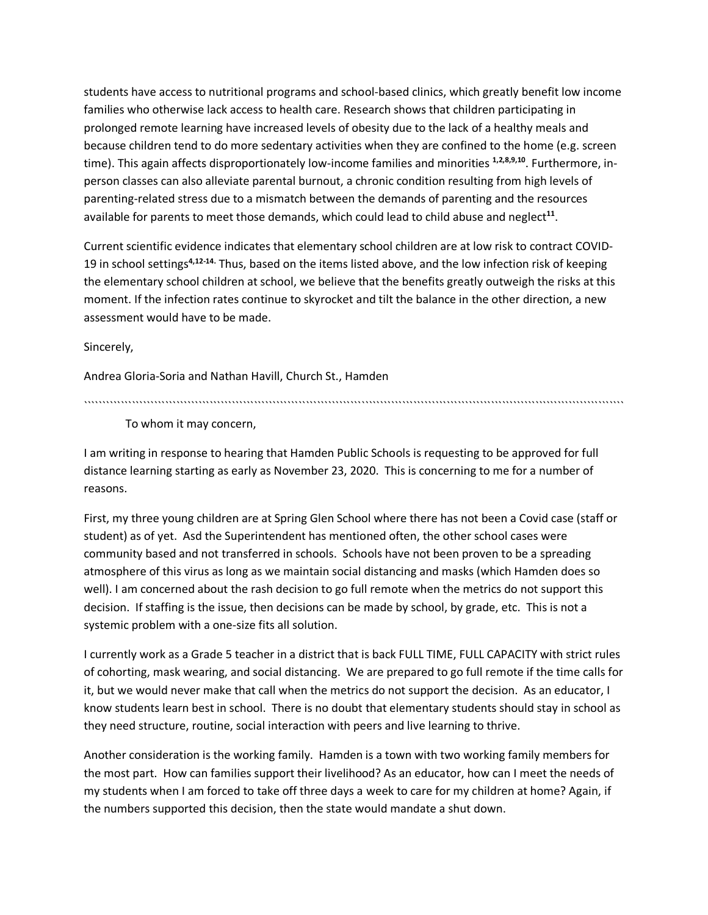students have access to nutritional programs and school-based clinics, which greatly benefit low income families who otherwise lack access to health care. Research shows that children participating in prolonged remote learning have increased levels of obesity due to the lack of a healthy meals and because children tend to do more sedentary activities when they are confined to the home (e.g. screen time). This again affects disproportionately low-income families and minorities **1,2,8,9,10**. Furthermore, inperson classes can also alleviate parental burnout, a chronic condition resulting from high levels of parenting-related stress due to a mismatch between the demands of parenting and the resources available for parents to meet those demands, which could lead to child abuse and neglect**<sup>11</sup>**.

Current scientific evidence indicates that elementary school children are at low risk to contract COVID-19 in school settings**4,12-14.** Thus, based on the items listed above, and the low infection risk of keeping the elementary school children at school, we believe that the benefits greatly outweigh the risks at this moment. If the infection rates continue to skyrocket and tilt the balance in the other direction, a new assessment would have to be made.

Sincerely,

Andrea Gloria-Soria and Nathan Havill, Church St., Hamden

``````````````````````````````````````````````````````````````````````````````````````````````````````````````````````````````````````````````````

To whom it may concern,

I am writing in response to hearing that Hamden Public Schools is requesting to be approved for full distance learning starting as early as November 23, 2020. This is concerning to me for a number of reasons.

First, my three young children are at Spring Glen School where there has not been a Covid case (staff or student) as of yet. Asd the Superintendent has mentioned often, the other school cases were community based and not transferred in schools. Schools have not been proven to be a spreading atmosphere of this virus as long as we maintain social distancing and masks (which Hamden does so well). I am concerned about the rash decision to go full remote when the metrics do not support this decision. If staffing is the issue, then decisions can be made by school, by grade, etc. This is not a systemic problem with a one-size fits all solution.

I currently work as a Grade 5 teacher in a district that is back FULL TIME, FULL CAPACITY with strict rules of cohorting, mask wearing, and social distancing. We are prepared to go full remote if the time calls for it, but we would never make that call when the metrics do not support the decision. As an educator, I know students learn best in school. There is no doubt that elementary students should stay in school as they need structure, routine, social interaction with peers and live learning to thrive.

Another consideration is the working family. Hamden is a town with two working family members for the most part. How can families support their livelihood? As an educator, how can I meet the needs of my students when I am forced to take off three days a week to care for my children at home? Again, if the numbers supported this decision, then the state would mandate a shut down.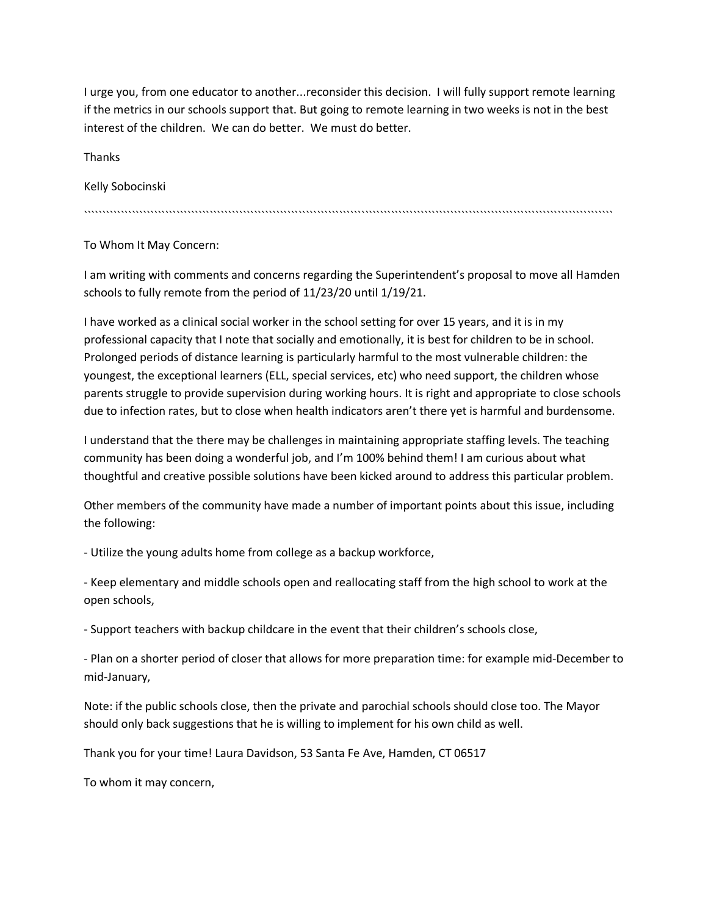I urge you, from one educator to another...reconsider this decision. I will fully support remote learning if the metrics in our schools support that. But going to remote learning in two weeks is not in the best interest of the children. We can do better. We must do better.

**Thanks** 

Kelly Sobocinski

```````````````````````````````````````````````````````````````````````````````````````````````````````````````````````````````````````````````

To Whom It May Concern:

I am writing with comments and concerns regarding the Superintendent's proposal to move all Hamden schools to fully remote from the period of 11/23/20 until 1/19/21.

I have worked as a clinical social worker in the school setting for over 15 years, and it is in my professional capacity that I note that socially and emotionally, it is best for children to be in school. Prolonged periods of distance learning is particularly harmful to the most vulnerable children: the youngest, the exceptional learners (ELL, special services, etc) who need support, the children whose parents struggle to provide supervision during working hours. It is right and appropriate to close schools due to infection rates, but to close when health indicators aren't there yet is harmful and burdensome.

I understand that the there may be challenges in maintaining appropriate staffing levels. The teaching community has been doing a wonderful job, and I'm 100% behind them! I am curious about what thoughtful and creative possible solutions have been kicked around to address this particular problem.

Other members of the community have made a number of important points about this issue, including the following:

- Utilize the young adults home from college as a backup workforce,

- Keep elementary and middle schools open and reallocating staff from the high school to work at the open schools,

- Support teachers with backup childcare in the event that their children's schools close,

- Plan on a shorter period of closer that allows for more preparation time: for example mid-December to mid-January,

Note: if the public schools close, then the private and parochial schools should close too. The Mayor should only back suggestions that he is willing to implement for his own child as well.

Thank you for your time! Laura Davidson, 53 Santa Fe Ave, Hamden, CT 06517

To whom it may concern,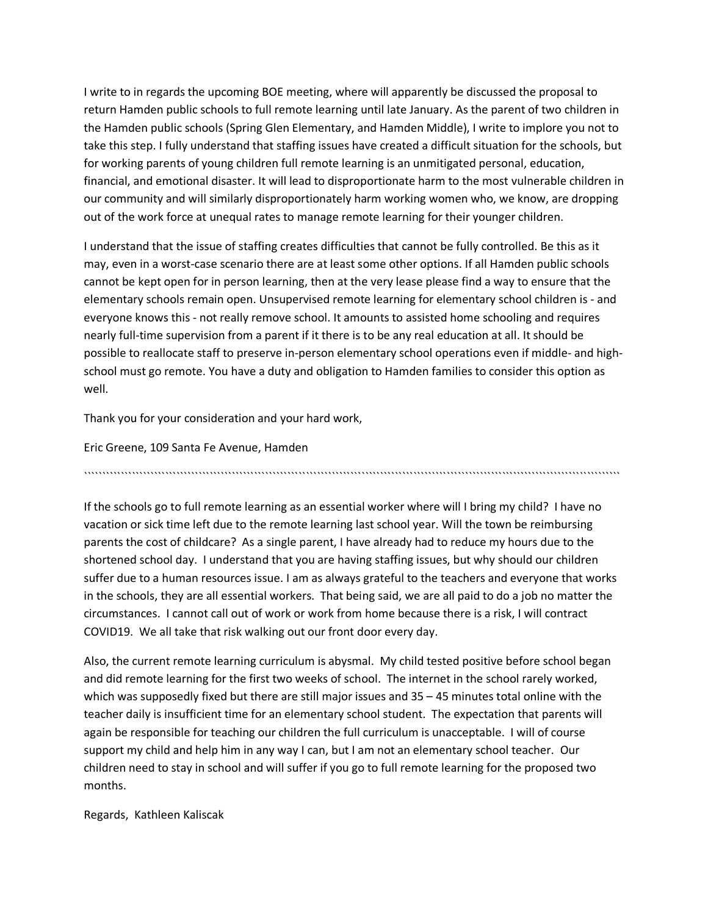I write to in regards the upcoming BOE meeting, where will apparently be discussed the proposal to return Hamden public schools to full remote learning until late January. As the parent of two children in the Hamden public schools (Spring Glen Elementary, and Hamden Middle), I write to implore you not to take this step. I fully understand that staffing issues have created a difficult situation for the schools, but for working parents of young children full remote learning is an unmitigated personal, education, financial, and emotional disaster. It will lead to disproportionate harm to the most vulnerable children in our community and will similarly disproportionately harm working women who, we know, are dropping out of the work force at unequal rates to manage remote learning for their younger children.

I understand that the issue of staffing creates difficulties that cannot be fully controlled. Be this as it may, even in a worst-case scenario there are at least some other options. If all Hamden public schools cannot be kept open for in person learning, then at the very lease please find a way to ensure that the elementary schools remain open. Unsupervised remote learning for elementary school children is - and everyone knows this - not really remove school. It amounts to assisted home schooling and requires nearly full-time supervision from a parent if it there is to be any real education at all. It should be possible to reallocate staff to preserve in-person elementary school operations even if middle- and highschool must go remote. You have a duty and obligation to Hamden families to consider this option as well.

Thank you for your consideration and your hard work,

Eric Greene, 109 Santa Fe Avenue, Hamden

`````````````````````````````````````````````````````````````````````````````````````````````````````````````````````````````````````````````````

If the schools go to full remote learning as an essential worker where will I bring my child? I have no vacation or sick time left due to the remote learning last school year. Will the town be reimbursing parents the cost of childcare? As a single parent, I have already had to reduce my hours due to the shortened school day. I understand that you are having staffing issues, but why should our children suffer due to a human resources issue. I am as always grateful to the teachers and everyone that works in the schools, they are all essential workers. That being said, we are all paid to do a job no matter the circumstances. I cannot call out of work or work from home because there is a risk, I will contract COVID19. We all take that risk walking out our front door every day.

Also, the current remote learning curriculum is abysmal. My child tested positive before school began and did remote learning for the first two weeks of school. The internet in the school rarely worked, which was supposedly fixed but there are still major issues and 35 – 45 minutes total online with the teacher daily is insufficient time for an elementary school student. The expectation that parents will again be responsible for teaching our children the full curriculum is unacceptable. I will of course support my child and help him in any way I can, but I am not an elementary school teacher. Our children need to stay in school and will suffer if you go to full remote learning for the proposed two months.

Regards, Kathleen Kaliscak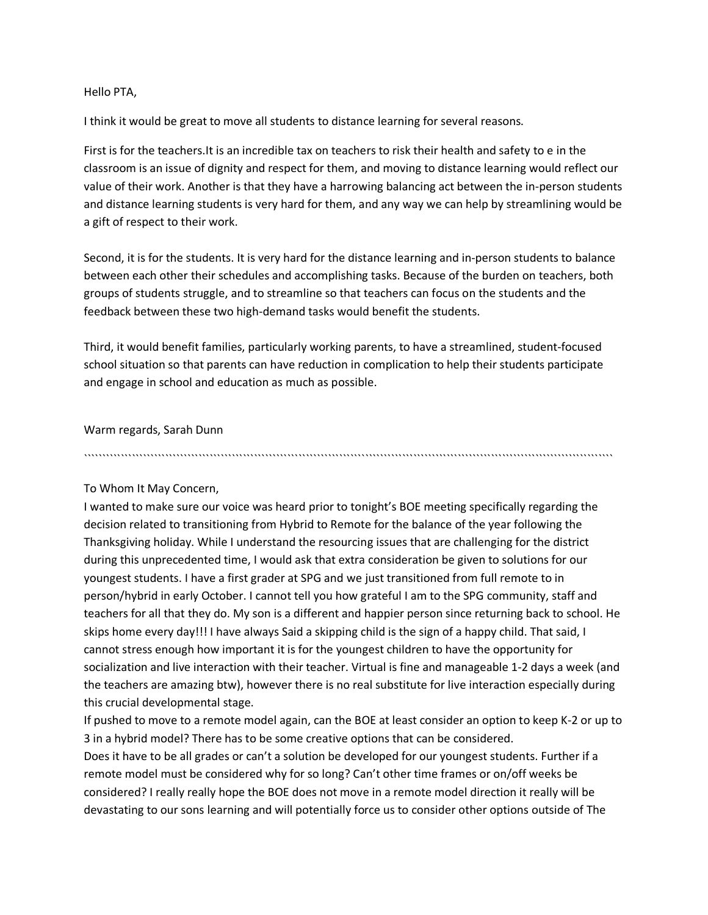Hello PTA,

I think it would be great to move all students to distance learning for several reasons.

First is for the teachers.It is an incredible tax on teachers to risk their health and safety to e in the classroom is an issue of dignity and respect for them, and moving to distance learning would reflect our value of their work. Another is that they have a harrowing balancing act between the in-person students and distance learning students is very hard for them, and any way we can help by streamlining would be a gift of respect to their work.

Second, it is for the students. It is very hard for the distance learning and in-person students to balance between each other their schedules and accomplishing tasks. Because of the burden on teachers, both groups of students struggle, and to streamline so that teachers can focus on the students and the feedback between these two high-demand tasks would benefit the students.

Third, it would benefit families, particularly working parents, to have a streamlined, student-focused school situation so that parents can have reduction in complication to help their students participate and engage in school and education as much as possible.

```````````````````````````````````````````````````````````````````````````````````````````````````````````````````````````````````````````````

Warm regards, Sarah Dunn

To Whom It May Concern,

I wanted to make sure our voice was heard prior to tonight's BOE meeting specifically regarding the decision related to transitioning from Hybrid to Remote for the balance of the year following the Thanksgiving holiday. While I understand the resourcing issues that are challenging for the district during this unprecedented time, I would ask that extra consideration be given to solutions for our youngest students. I have a first grader at SPG and we just transitioned from full remote to in person/hybrid in early October. I cannot tell you how grateful I am to the SPG community, staff and teachers for all that they do. My son is a different and happier person since returning back to school. He skips home every day!!! I have always Said a skipping child is the sign of a happy child. That said, I cannot stress enough how important it is for the youngest children to have the opportunity for socialization and live interaction with their teacher. Virtual is fine and manageable 1-2 days a week (and the teachers are amazing btw), however there is no real substitute for live interaction especially during this crucial developmental stage.

If pushed to move to a remote model again, can the BOE at least consider an option to keep K-2 or up to 3 in a hybrid model? There has to be some creative options that can be considered.

Does it have to be all grades or can't a solution be developed for our youngest students. Further if a remote model must be considered why for so long? Can't other time frames or on/off weeks be considered? I really really hope the BOE does not move in a remote model direction it really will be devastating to our sons learning and will potentially force us to consider other options outside of The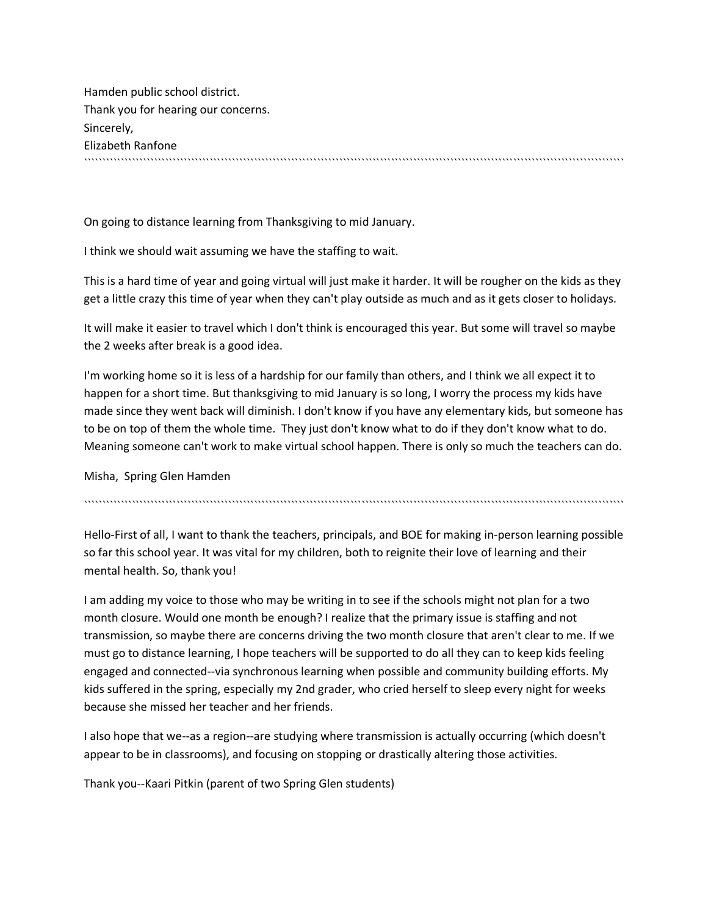Hamden public school district. Thank you for hearing our concerns. Sincerely, Elizabeth Ranfone ``````````````````````````````````````````````````````````````````````````````````````````````````````````````````````````````````````````````````

On going to distance learning from Thanksgiving to mid January.

I think we should wait assuming we have the staffing to wait.

This is a hard time of year and going virtual will just make it harder. It will be rougher on the kids as they get a little crazy this time of year when they can't play outside as much and as it gets closer to holidays.

It will make it easier to travel which I don't think is encouraged this year. But some will travel so maybe the 2 weeks after break is a good idea.

I'm working home so it is less of a hardship for our family than others, and I think we all expect it to happen for a short time. But thanksgiving to mid January is so long, I worry the process my kids have made since they went back will diminish. I don't know if you have any elementary kids, but someone has to be on top of them the whole time. They just don't know what to do if they don't know what to do. Meaning someone can't work to make virtual school happen. There is only so much the teachers can do.

Misha, Spring Glen Hamden

``````````````````````````````````````````````````````````````````````````````````````````````````````````````````````````````````````````````````

Hello-First of all, I want to thank the teachers, principals, and BOE for making in-person learning possible so far this school year. It was vital for my children, both to reignite their love of learning and their mental health. So, thank you!

I am adding my voice to those who may be writing in to see if the schools might not plan for a two month closure. Would one month be enough? I realize that the primary issue is staffing and not transmission, so maybe there are concerns driving the two month closure that aren't clear to me. If we must go to distance learning, I hope teachers will be supported to do all they can to keep kids feeling engaged and connected--via synchronous learning when possible and community building efforts. My kids suffered in the spring, especially my 2nd grader, who cried herself to sleep every night for weeks because she missed her teacher and her friends.

I also hope that we--as a region--are studying where transmission is actually occurring (which doesn't appear to be in classrooms), and focusing on stopping or drastically altering those activities.

Thank you--Kaari Pitkin (parent of two Spring Glen students)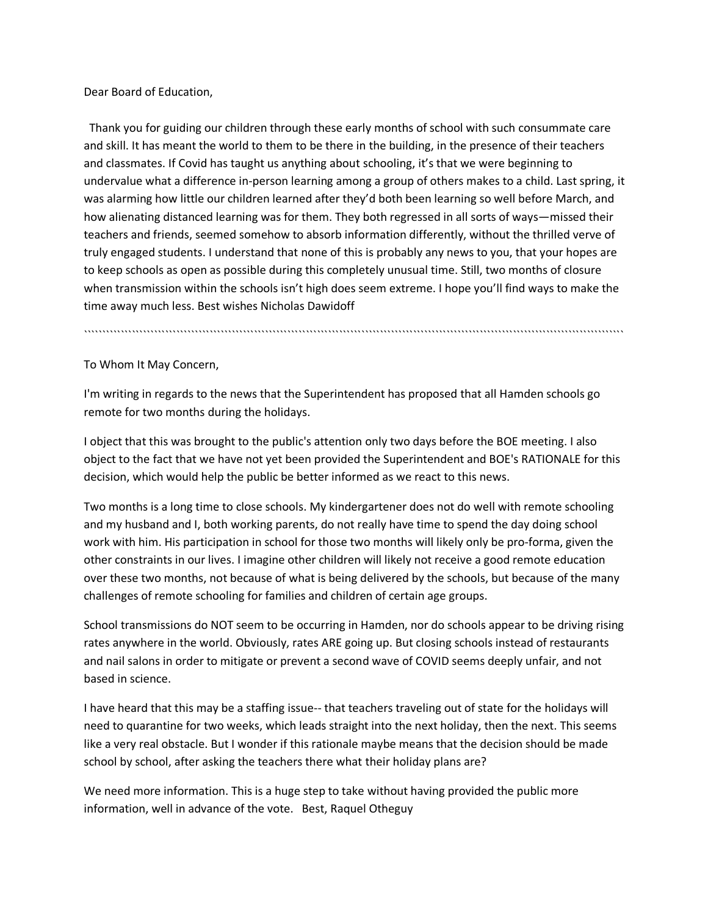Dear Board of Education,

Thank you for guiding our children through these early months of school with such consummate care and skill. It has meant the world to them to be there in the building, in the presence of their teachers and classmates. If Covid has taught us anything about schooling, it's that we were beginning to undervalue what a difference in-person learning among a group of others makes to a child. Last spring, it was alarming how little our children learned after they'd both been learning so well before March, and how alienating distanced learning was for them. They both regressed in all sorts of ways—missed their teachers and friends, seemed somehow to absorb information differently, without the thrilled verve of truly engaged students. I understand that none of this is probably any news to you, that your hopes are to keep schools as open as possible during this completely unusual time. Still, two months of closure when transmission within the schools isn't high does seem extreme. I hope you'll find ways to make the time away much less. Best wishes Nicholas Dawidoff

``````````````````````````````````````````````````````````````````````````````````````````````````````````````````````````````````````````````````

To Whom It May Concern,

I'm writing in regards to the news that the Superintendent has proposed that all Hamden schools go remote for two months during the holidays.

I object that this was brought to the public's attention only two days before the BOE meeting. I also object to the fact that we have not yet been provided the Superintendent and BOE's RATIONALE for this decision, which would help the public be better informed as we react to this news.

Two months is a long time to close schools. My kindergartener does not do well with remote schooling and my husband and I, both working parents, do not really have time to spend the day doing school work with him. His participation in school for those two months will likely only be pro-forma, given the other constraints in our lives. I imagine other children will likely not receive a good remote education over these two months, not because of what is being delivered by the schools, but because of the many challenges of remote schooling for families and children of certain age groups.

School transmissions do NOT seem to be occurring in Hamden, nor do schools appear to be driving rising rates anywhere in the world. Obviously, rates ARE going up. But closing schools instead of restaurants and nail salons in order to mitigate or prevent a second wave of COVID seems deeply unfair, and not based in science.

I have heard that this may be a staffing issue-- that teachers traveling out of state for the holidays will need to quarantine for two weeks, which leads straight into the next holiday, then the next. This seems like a very real obstacle. But I wonder if this rationale maybe means that the decision should be made school by school, after asking the teachers there what their holiday plans are?

We need more information. This is a huge step to take without having provided the public more information, well in advance of the vote. Best, Raquel Otheguy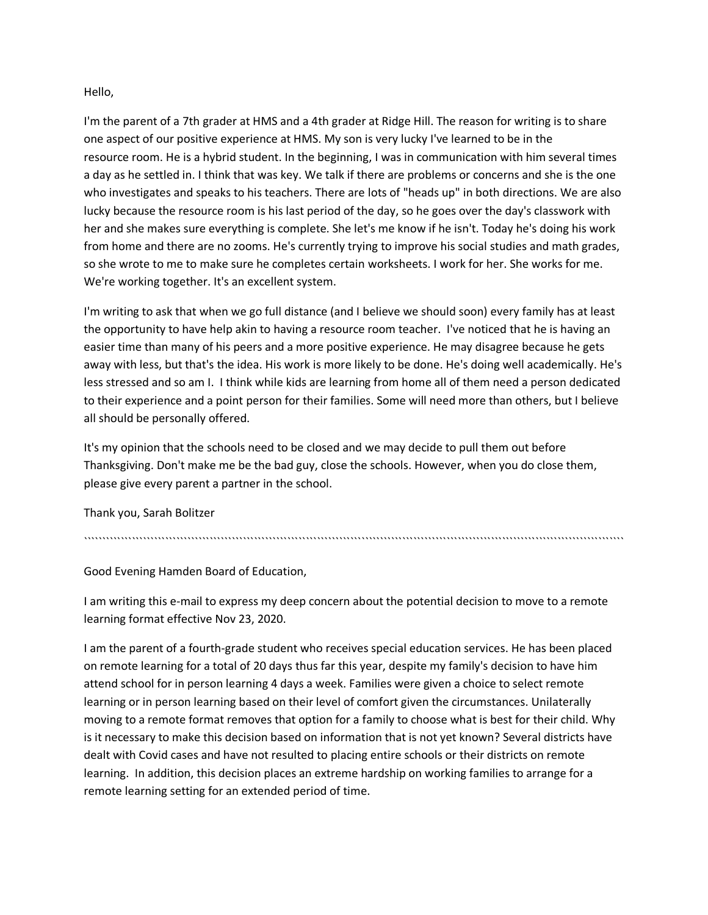### Hello,

I'm the parent of a 7th grader at HMS and a 4th grader at Ridge Hill. The reason for writing is to share one aspect of our positive experience at HMS. My son is very lucky I've learned to be in the resource room. He is a hybrid student. In the beginning, I was in communication with him several times a day as he settled in. I think that was key. We talk if there are problems or concerns and she is the one who investigates and speaks to his teachers. There are lots of "heads up" in both directions. We are also lucky because the resource room is his last period of the day, so he goes over the day's classwork with her and she makes sure everything is complete. She let's me know if he isn't. Today he's doing his work from home and there are no zooms. He's currently trying to improve his social studies and math grades, so she wrote to me to make sure he completes certain worksheets. I work for her. She works for me. We're working together. It's an excellent system.

I'm writing to ask that when we go full distance (and I believe we should soon) every family has at least the opportunity to have help akin to having a resource room teacher. I've noticed that he is having an easier time than many of his peers and a more positive experience. He may disagree because he gets away with less, but that's the idea. His work is more likely to be done. He's doing well academically. He's less stressed and so am I. I think while kids are learning from home all of them need a person dedicated to their experience and a point person for their families. Some will need more than others, but I believe all should be personally offered.

It's my opinion that the schools need to be closed and we may decide to pull them out before Thanksgiving. Don't make me be the bad guy, close the schools. However, when you do close them, please give every parent a partner in the school.

Thank you, Sarah Bolitzer

``````````````````````````````````````````````````````````````````````````````````````````````````````````````````````````````````````````````````

Good Evening Hamden Board of Education,

I am writing this e-mail to express my deep concern about the potential decision to move to a remote learning format effective Nov 23, 2020.

I am the parent of a fourth-grade student who receives special education services. He has been placed on remote learning for a total of 20 days thus far this year, despite my family's decision to have him attend school for in person learning 4 days a week. Families were given a choice to select remote learning or in person learning based on their level of comfort given the circumstances. Unilaterally moving to a remote format removes that option for a family to choose what is best for their child. Why is it necessary to make this decision based on information that is not yet known? Several districts have dealt with Covid cases and have not resulted to placing entire schools or their districts on remote learning. In addition, this decision places an extreme hardship on working families to arrange for a remote learning setting for an extended period of time.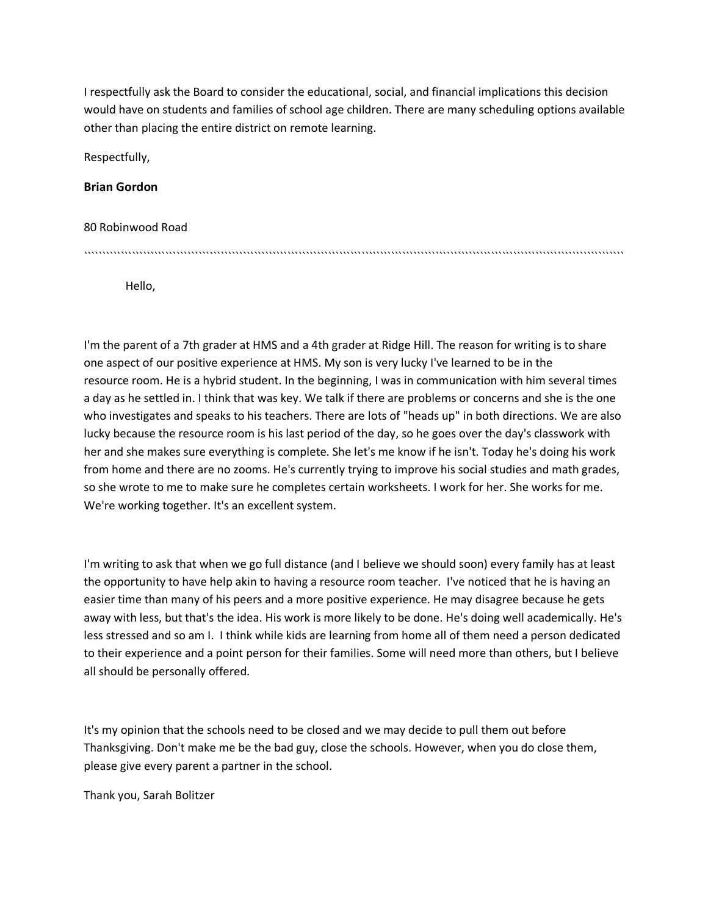I respectfully ask the Board to consider the educational, social, and financial implications this decision would have on students and families of school age children. There are many scheduling options available other than placing the entire district on remote learning.

Respectfully,

**Brian Gordon**

80 Robinwood Road

``````````````````````````````````````````````````````````````````````````````````````````````````````````````````````````````````````````````````

Hello,

I'm the parent of a 7th grader at HMS and a 4th grader at Ridge Hill. The reason for writing is to share one aspect of our positive experience at HMS. My son is very lucky I've learned to be in the resource room. He is a hybrid student. In the beginning, I was in communication with him several times a day as he settled in. I think that was key. We talk if there are problems or concerns and she is the one who investigates and speaks to his teachers. There are lots of "heads up" in both directions. We are also lucky because the resource room is his last period of the day, so he goes over the day's classwork with her and she makes sure everything is complete. She let's me know if he isn't. Today he's doing his work from home and there are no zooms. He's currently trying to improve his social studies and math grades, so she wrote to me to make sure he completes certain worksheets. I work for her. She works for me. We're working together. It's an excellent system.

I'm writing to ask that when we go full distance (and I believe we should soon) every family has at least the opportunity to have help akin to having a resource room teacher. I've noticed that he is having an easier time than many of his peers and a more positive experience. He may disagree because he gets away with less, but that's the idea. His work is more likely to be done. He's doing well academically. He's less stressed and so am I. I think while kids are learning from home all of them need a person dedicated to their experience and a point person for their families. Some will need more than others, but I believe all should be personally offered.

It's my opinion that the schools need to be closed and we may decide to pull them out before Thanksgiving. Don't make me be the bad guy, close the schools. However, when you do close them, please give every parent a partner in the school.

Thank you, Sarah Bolitzer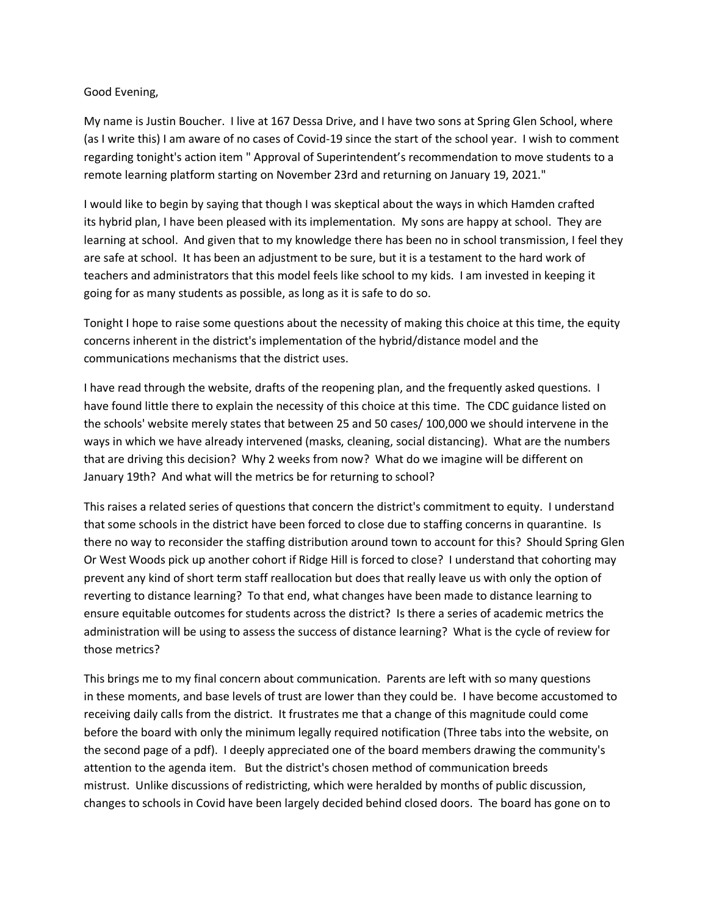### Good Evening,

My name is Justin Boucher. I live at 167 Dessa Drive, and I have two sons at Spring Glen School, where (as I write this) I am aware of no cases of Covid-19 since the start of the school year. I wish to comment regarding tonight's action item " Approval of Superintendent's recommendation to move students to a remote learning platform starting on November 23rd and returning on January 19, 2021."

I would like to begin by saying that though I was skeptical about the ways in which Hamden crafted its hybrid plan, I have been pleased with its implementation. My sons are happy at school. They are learning at school. And given that to my knowledge there has been no in school transmission, I feel they are safe at school. It has been an adjustment to be sure, but it is a testament to the hard work of teachers and administrators that this model feels like school to my kids. I am invested in keeping it going for as many students as possible, as long as it is safe to do so.

Tonight I hope to raise some questions about the necessity of making this choice at this time, the equity concerns inherent in the district's implementation of the hybrid/distance model and the communications mechanisms that the district uses.

I have read through the website, drafts of the reopening plan, and the frequently asked questions. I have found little there to explain the necessity of this choice at this time. The CDC guidance listed on the schools' website merely states that between 25 and 50 cases/ 100,000 we should intervene in the ways in which we have already intervened (masks, cleaning, social distancing). What are the numbers that are driving this decision? Why 2 weeks from now? What do we imagine will be different on January 19th? And what will the metrics be for returning to school?

This raises a related series of questions that concern the district's commitment to equity. I understand that some schools in the district have been forced to close due to staffing concerns in quarantine. Is there no way to reconsider the staffing distribution around town to account for this? Should Spring Glen Or West Woods pick up another cohort if Ridge Hill is forced to close? I understand that cohorting may prevent any kind of short term staff reallocation but does that really leave us with only the option of reverting to distance learning? To that end, what changes have been made to distance learning to ensure equitable outcomes for students across the district? Is there a series of academic metrics the administration will be using to assess the success of distance learning? What is the cycle of review for those metrics?

This brings me to my final concern about communication. Parents are left with so many questions in these moments, and base levels of trust are lower than they could be. I have become accustomed to receiving daily calls from the district. It frustrates me that a change of this magnitude could come before the board with only the minimum legally required notification (Three tabs into the website, on the second page of a pdf). I deeply appreciated one of the board members drawing the community's attention to the agenda item. But the district's chosen method of communication breeds mistrust. Unlike discussions of redistricting, which were heralded by months of public discussion, changes to schools in Covid have been largely decided behind closed doors. The board has gone on to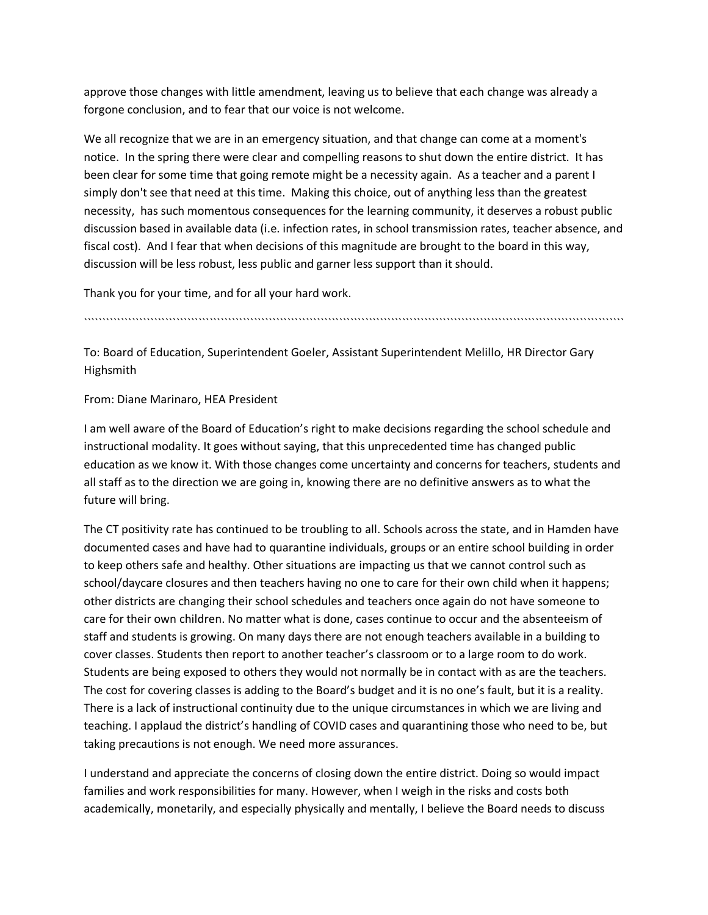approve those changes with little amendment, leaving us to believe that each change was already a forgone conclusion, and to fear that our voice is not welcome.

We all recognize that we are in an emergency situation, and that change can come at a moment's notice. In the spring there were clear and compelling reasons to shut down the entire district. It has been clear for some time that going remote might be a necessity again. As a teacher and a parent I simply don't see that need at this time. Making this choice, out of anything less than the greatest necessity, has such momentous consequences for the learning community, it deserves a robust public discussion based in available data (i.e. infection rates, in school transmission rates, teacher absence, and fiscal cost). And I fear that when decisions of this magnitude are brought to the board in this way, discussion will be less robust, less public and garner less support than it should.

Thank you for your time, and for all your hard work.

``````````````````````````````````````````````````````````````````````````````````````````````````````````````````````````````````````````````````

To: Board of Education, Superintendent Goeler, Assistant Superintendent Melillo, HR Director Gary Highsmith

From: Diane Marinaro, HEA President

I am well aware of the Board of Education's right to make decisions regarding the school schedule and instructional modality. It goes without saying, that this unprecedented time has changed public education as we know it. With those changes come uncertainty and concerns for teachers, students and all staff as to the direction we are going in, knowing there are no definitive answers as to what the future will bring.

The CT positivity rate has continued to be troubling to all. Schools across the state, and in Hamden have documented cases and have had to quarantine individuals, groups or an entire school building in order to keep others safe and healthy. Other situations are impacting us that we cannot control such as school/daycare closures and then teachers having no one to care for their own child when it happens; other districts are changing their school schedules and teachers once again do not have someone to care for their own children. No matter what is done, cases continue to occur and the absenteeism of staff and students is growing. On many days there are not enough teachers available in a building to cover classes. Students then report to another teacher's classroom or to a large room to do work. Students are being exposed to others they would not normally be in contact with as are the teachers. The cost for covering classes is adding to the Board's budget and it is no one's fault, but it is a reality. There is a lack of instructional continuity due to the unique circumstances in which we are living and teaching. I applaud the district's handling of COVID cases and quarantining those who need to be, but taking precautions is not enough. We need more assurances.

I understand and appreciate the concerns of closing down the entire district. Doing so would impact families and work responsibilities for many. However, when I weigh in the risks and costs both academically, monetarily, and especially physically and mentally, I believe the Board needs to discuss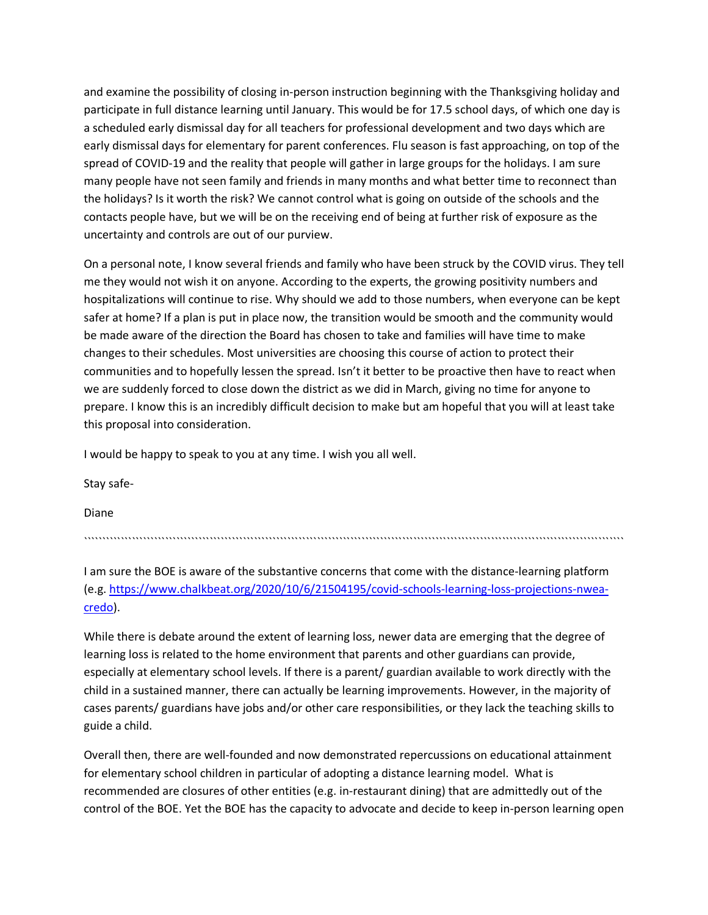and examine the possibility of closing in-person instruction beginning with the Thanksgiving holiday and participate in full distance learning until January. This would be for 17.5 school days, of which one day is a scheduled early dismissal day for all teachers for professional development and two days which are early dismissal days for elementary for parent conferences. Flu season is fast approaching, on top of the spread of COVID-19 and the reality that people will gather in large groups for the holidays. I am sure many people have not seen family and friends in many months and what better time to reconnect than the holidays? Is it worth the risk? We cannot control what is going on outside of the schools and the contacts people have, but we will be on the receiving end of being at further risk of exposure as the uncertainty and controls are out of our purview.

On a personal note, I know several friends and family who have been struck by the COVID virus. They tell me they would not wish it on anyone. According to the experts, the growing positivity numbers and hospitalizations will continue to rise. Why should we add to those numbers, when everyone can be kept safer at home? If a plan is put in place now, the transition would be smooth and the community would be made aware of the direction the Board has chosen to take and families will have time to make changes to their schedules. Most universities are choosing this course of action to protect their communities and to hopefully lessen the spread. Isn't it better to be proactive then have to react when we are suddenly forced to close down the district as we did in March, giving no time for anyone to prepare. I know this is an incredibly difficult decision to make but am hopeful that you will at least take this proposal into consideration.

I would be happy to speak to you at any time. I wish you all well.

Stay safe-

Diane

``````````````````````````````````````````````````````````````````````````````````````````````````````````````````````````````````````````````````

I am sure the BOE is aware of the substantive concerns that come with the distance-learning platform (e.g. https://www.chalkbeat.org/2020/10/6/21504195/covid-schools-learning-loss-projections-nweacredo).

While there is debate around the extent of learning loss, newer data are emerging that the degree of learning loss is related to the home environment that parents and other guardians can provide, especially at elementary school levels. If there is a parent/ guardian available to work directly with the child in a sustained manner, there can actually be learning improvements. However, in the majority of cases parents/ guardians have jobs and/or other care responsibilities, or they lack the teaching skills to guide a child.

Overall then, there are well-founded and now demonstrated repercussions on educational attainment for elementary school children in particular of adopting a distance learning model. What is recommended are closures of other entities (e.g. in-restaurant dining) that are admittedly out of the control of the BOE. Yet the BOE has the capacity to advocate and decide to keep in-person learning open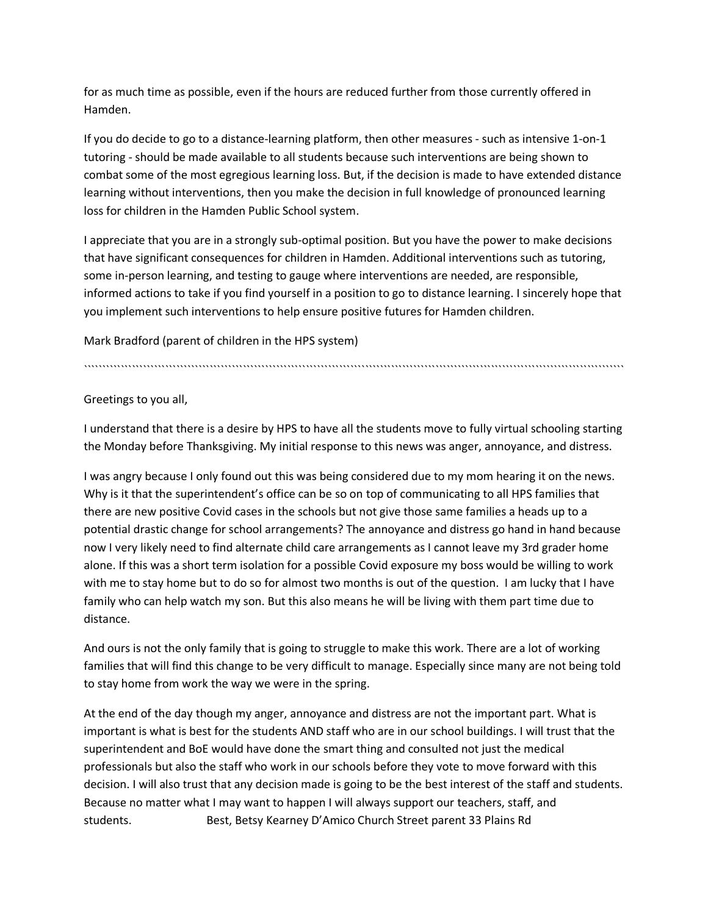for as much time as possible, even if the hours are reduced further from those currently offered in Hamden.

If you do decide to go to a distance-learning platform, then other measures - such as intensive 1-on-1 tutoring - should be made available to all students because such interventions are being shown to combat some of the most egregious learning loss. But, if the decision is made to have extended distance learning without interventions, then you make the decision in full knowledge of pronounced learning loss for children in the Hamden Public School system.

I appreciate that you are in a strongly sub-optimal position. But you have the power to make decisions that have significant consequences for children in Hamden. Additional interventions such as tutoring, some in-person learning, and testing to gauge where interventions are needed, are responsible, informed actions to take if you find yourself in a position to go to distance learning. I sincerely hope that you implement such interventions to help ensure positive futures for Hamden children.

Mark Bradford (parent of children in the HPS system)

``````````````````````````````````````````````````````````````````````````````````````````````````````````````````````````````````````````````````

Greetings to you all,

I understand that there is a desire by HPS to have all the students move to fully virtual schooling starting the Monday before Thanksgiving. My initial response to this news was anger, annoyance, and distress.

I was angry because I only found out this was being considered due to my mom hearing it on the news. Why is it that the superintendent's office can be so on top of communicating to all HPS families that there are new positive Covid cases in the schools but not give those same families a heads up to a potential drastic change for school arrangements? The annoyance and distress go hand in hand because now I very likely need to find alternate child care arrangements as I cannot leave my 3rd grader home alone. If this was a short term isolation for a possible Covid exposure my boss would be willing to work with me to stay home but to do so for almost two months is out of the question. I am lucky that I have family who can help watch my son. But this also means he will be living with them part time due to distance.

And ours is not the only family that is going to struggle to make this work. There are a lot of working families that will find this change to be very difficult to manage. Especially since many are not being told to stay home from work the way we were in the spring.

At the end of the day though my anger, annoyance and distress are not the important part. What is important is what is best for the students AND staff who are in our school buildings. I will trust that the superintendent and BoE would have done the smart thing and consulted not just the medical professionals but also the staff who work in our schools before they vote to move forward with this decision. I will also trust that any decision made is going to be the best interest of the staff and students. Because no matter what I may want to happen I will always support our teachers, staff, and students. Best, Betsy Kearney D'Amico Church Street parent 33 Plains Rd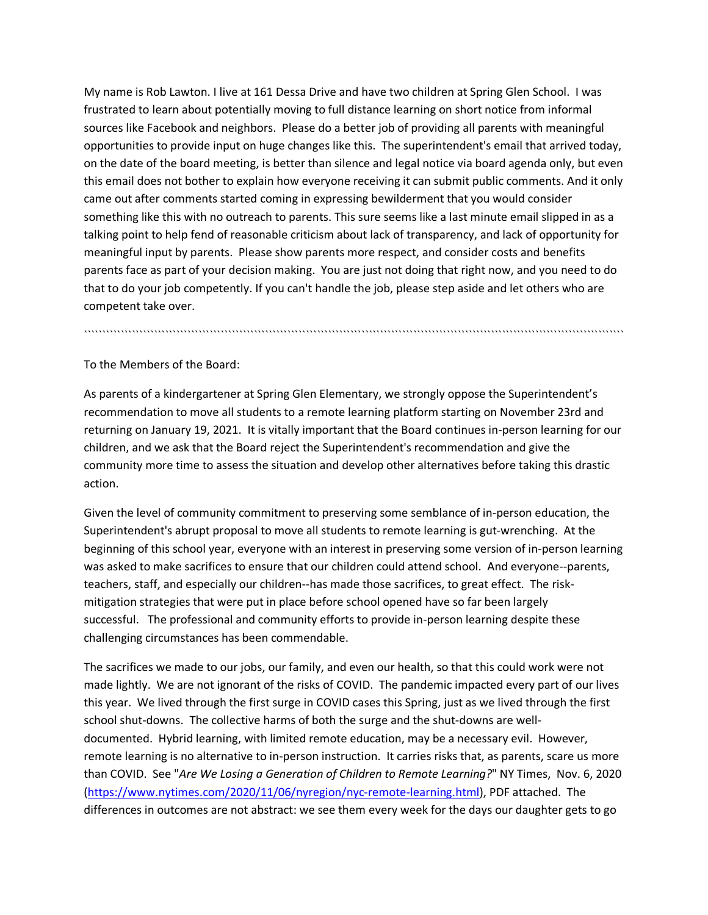My name is Rob Lawton. I live at 161 Dessa Drive and have two children at Spring Glen School. I was frustrated to learn about potentially moving to full distance learning on short notice from informal sources like Facebook and neighbors. Please do a better job of providing all parents with meaningful opportunities to provide input on huge changes like this. The superintendent's email that arrived today, on the date of the board meeting, is better than silence and legal notice via board agenda only, but even this email does not bother to explain how everyone receiving it can submit public comments. And it only came out after comments started coming in expressing bewilderment that you would consider something like this with no outreach to parents. This sure seems like a last minute email slipped in as a talking point to help fend of reasonable criticism about lack of transparency, and lack of opportunity for meaningful input by parents. Please show parents more respect, and consider costs and benefits parents face as part of your decision making. You are just not doing that right now, and you need to do that to do your job competently. If you can't handle the job, please step aside and let others who are competent take over.

To the Members of the Board:

As parents of a kindergartener at Spring Glen Elementary, we strongly oppose the Superintendent's recommendation to move all students to a remote learning platform starting on November 23rd and returning on January 19, 2021. It is vitally important that the Board continues in-person learning for our children, and we ask that the Board reject the Superintendent's recommendation and give the community more time to assess the situation and develop other alternatives before taking this drastic action.

``````````````````````````````````````````````````````````````````````````````````````````````````````````````````````````````````````````````````

Given the level of community commitment to preserving some semblance of in-person education, the Superintendent's abrupt proposal to move all students to remote learning is gut-wrenching. At the beginning of this school year, everyone with an interest in preserving some version of in-person learning was asked to make sacrifices to ensure that our children could attend school. And everyone--parents, teachers, staff, and especially our children--has made those sacrifices, to great effect. The riskmitigation strategies that were put in place before school opened have so far been largely successful. The professional and community efforts to provide in-person learning despite these challenging circumstances has been commendable.

The sacrifices we made to our jobs, our family, and even our health, so that this could work were not made lightly. We are not ignorant of the risks of COVID. The pandemic impacted every part of our lives this year. We lived through the first surge in COVID cases this Spring, just as we lived through the first school shut-downs. The collective harms of both the surge and the shut-downs are welldocumented. Hybrid learning, with limited remote education, may be a necessary evil. However, remote learning is no alternative to in-person instruction. It carries risks that, as parents, scare us more than COVID. See "*Are We Losing a Generation of Children to Remote Learning?*" NY Times, Nov. 6, 2020 (https://www.nytimes.com/2020/11/06/nyregion/nyc-remote-learning.html), PDF attached. The differences in outcomes are not abstract: we see them every week for the days our daughter gets to go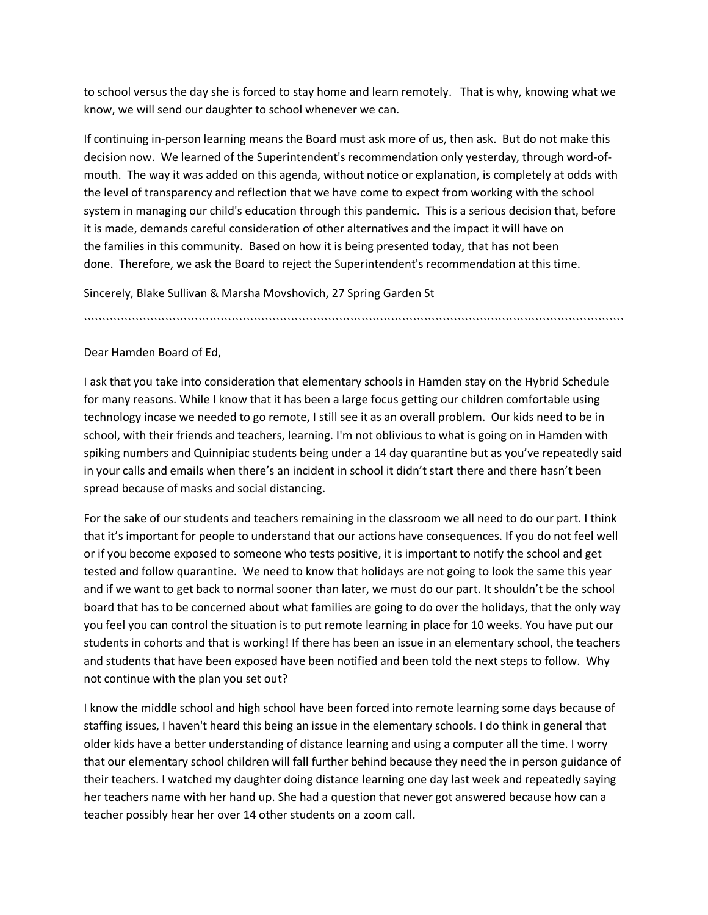to school versus the day she is forced to stay home and learn remotely. That is why, knowing what we know, we will send our daughter to school whenever we can.

If continuing in-person learning means the Board must ask more of us, then ask. But do not make this decision now. We learned of the Superintendent's recommendation only yesterday, through word-ofmouth. The way it was added on this agenda, without notice or explanation, is completely at odds with the level of transparency and reflection that we have come to expect from working with the school system in managing our child's education through this pandemic. This is a serious decision that, before it is made, demands careful consideration of other alternatives and the impact it will have on the families in this community. Based on how it is being presented today, that has not been done. Therefore, we ask the Board to reject the Superintendent's recommendation at this time.

Sincerely, Blake Sullivan & Marsha Movshovich, 27 Spring Garden St

``````````````````````````````````````````````````````````````````````````````````````````````````````````````````````````````````````````````````

Dear Hamden Board of Ed,

I ask that you take into consideration that elementary schools in Hamden stay on the Hybrid Schedule for many reasons. While I know that it has been a large focus getting our children comfortable using technology incase we needed to go remote, I still see it as an overall problem. Our kids need to be in school, with their friends and teachers, learning. I'm not oblivious to what is going on in Hamden with spiking numbers and Quinnipiac students being under a 14 day quarantine but as you've repeatedly said in your calls and emails when there's an incident in school it didn't start there and there hasn't been spread because of masks and social distancing.

For the sake of our students and teachers remaining in the classroom we all need to do our part. I think that it's important for people to understand that our actions have consequences. If you do not feel well or if you become exposed to someone who tests positive, it is important to notify the school and get tested and follow quarantine. We need to know that holidays are not going to look the same this year and if we want to get back to normal sooner than later, we must do our part. It shouldn't be the school board that has to be concerned about what families are going to do over the holidays, that the only way you feel you can control the situation is to put remote learning in place for 10 weeks. You have put our students in cohorts and that is working! If there has been an issue in an elementary school, the teachers and students that have been exposed have been notified and been told the next steps to follow. Why not continue with the plan you set out?

I know the middle school and high school have been forced into remote learning some days because of staffing issues, I haven't heard this being an issue in the elementary schools. I do think in general that older kids have a better understanding of distance learning and using a computer all the time. I worry that our elementary school children will fall further behind because they need the in person guidance of their teachers. I watched my daughter doing distance learning one day last week and repeatedly saying her teachers name with her hand up. She had a question that never got answered because how can a teacher possibly hear her over 14 other students on a zoom call.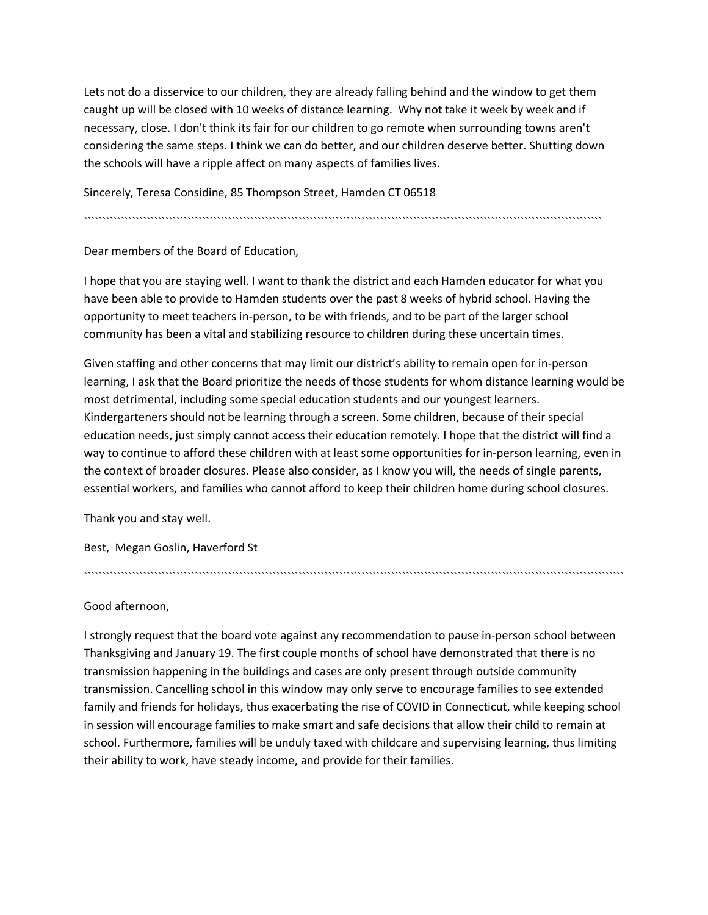Lets not do a disservice to our children, they are already falling behind and the window to get them caught up will be closed with 10 weeks of distance learning. Why not take it week by week and if necessary, close. I don't think its fair for our children to go remote when surrounding towns aren't considering the same steps. I think we can do better, and our children deserve better. Shutting down the schools will have a ripple affect on many aspects of families lives.

Sincerely, Teresa Considine, 85 Thompson Street, Hamden CT 06518

````````````````````````````````````````````````````````````````````````````````````````````````````````````````````````````````````````````

Dear members of the Board of Education,

I hope that you are staying well. I want to thank the district and each Hamden educator for what you have been able to provide to Hamden students over the past 8 weeks of hybrid school. Having the opportunity to meet teachers in-person, to be with friends, and to be part of the larger school community has been a vital and stabilizing resource to children during these uncertain times.

Given staffing and other concerns that may limit our district's ability to remain open for in-person learning, I ask that the Board prioritize the needs of those students for whom distance learning would be most detrimental, including some special education students and our youngest learners. Kindergarteners should not be learning through a screen. Some children, because of their special education needs, just simply cannot access their education remotely. I hope that the district will find a way to continue to afford these children with at least some opportunities for in-person learning, even in the context of broader closures. Please also consider, as I know you will, the needs of single parents, essential workers, and families who cannot afford to keep their children home during school closures.

Thank you and stay well.

Best, Megan Goslin, Haverford St

Good afternoon,

I strongly request that the board vote against any recommendation to pause in-person school between Thanksgiving and January 19. The first couple months of school have demonstrated that there is no transmission happening in the buildings and cases are only present through outside community transmission. Cancelling school in this window may only serve to encourage families to see extended family and friends for holidays, thus exacerbating the rise of COVID in Connecticut, while keeping school in session will encourage families to make smart and safe decisions that allow their child to remain at school. Furthermore, families will be unduly taxed with childcare and supervising learning, thus limiting their ability to work, have steady income, and provide for their families.

``````````````````````````````````````````````````````````````````````````````````````````````````````````````````````````````````````````````````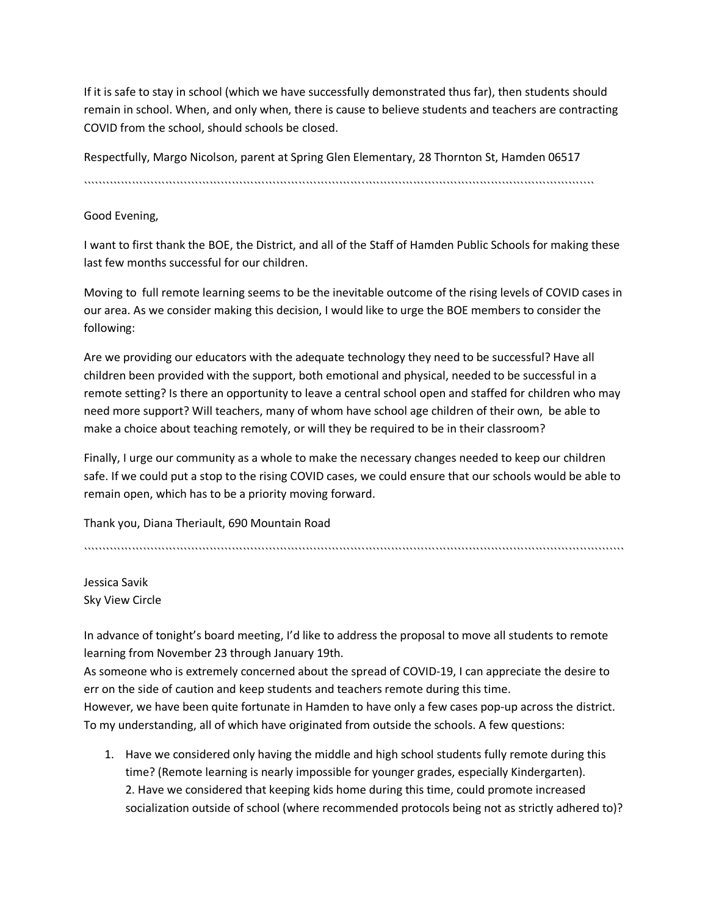If it is safe to stay in school (which we have successfully demonstrated thus far), then students should remain in school. When, and only when, there is cause to believe students and teachers are contracting COVID from the school, should schools be closed.

Respectfully, Margo Nicolson, parent at Spring Glen Elementary, 28 Thornton St, Hamden 06517

``````````````````````````````````````````````````````````````````````````````````````````````````````````````````````````````````````````

# Good Evening,

I want to first thank the BOE, the District, and all of the Staff of Hamden Public Schools for making these last few months successful for our children.

Moving to full remote learning seems to be the inevitable outcome of the rising levels of COVID cases in our area. As we consider making this decision, I would like to urge the BOE members to consider the following:

Are we providing our educators with the adequate technology they need to be successful? Have all children been provided with the support, both emotional and physical, needed to be successful in a remote setting? Is there an opportunity to leave a central school open and staffed for children who may need more support? Will teachers, many of whom have school age children of their own, be able to make a choice about teaching remotely, or will they be required to be in their classroom?

Finally, I urge our community as a whole to make the necessary changes needed to keep our children safe. If we could put a stop to the rising COVID cases, we could ensure that our schools would be able to remain open, which has to be a priority moving forward.

Thank you, Diana Theriault, 690 Mountain Road

``````````````````````````````````````````````````````````````````````````````````````````````````````````````````````````````````````````````````

Jessica Savik Sky View Circle

In advance of tonight's board meeting, I'd like to address the proposal to move all students to remote learning from November 23 through January 19th.

As someone who is extremely concerned about the spread of COVID-19, I can appreciate the desire to err on the side of caution and keep students and teachers remote during this time. However, we have been quite fortunate in Hamden to have only a few cases pop-up across the district. To my understanding, all of which have originated from outside the schools. A few questions:

1. Have we considered only having the middle and high school students fully remote during this time? (Remote learning is nearly impossible for younger grades, especially Kindergarten). 2. Have we considered that keeping kids home during this time, could promote increased socialization outside of school (where recommended protocols being not as strictly adhered to)?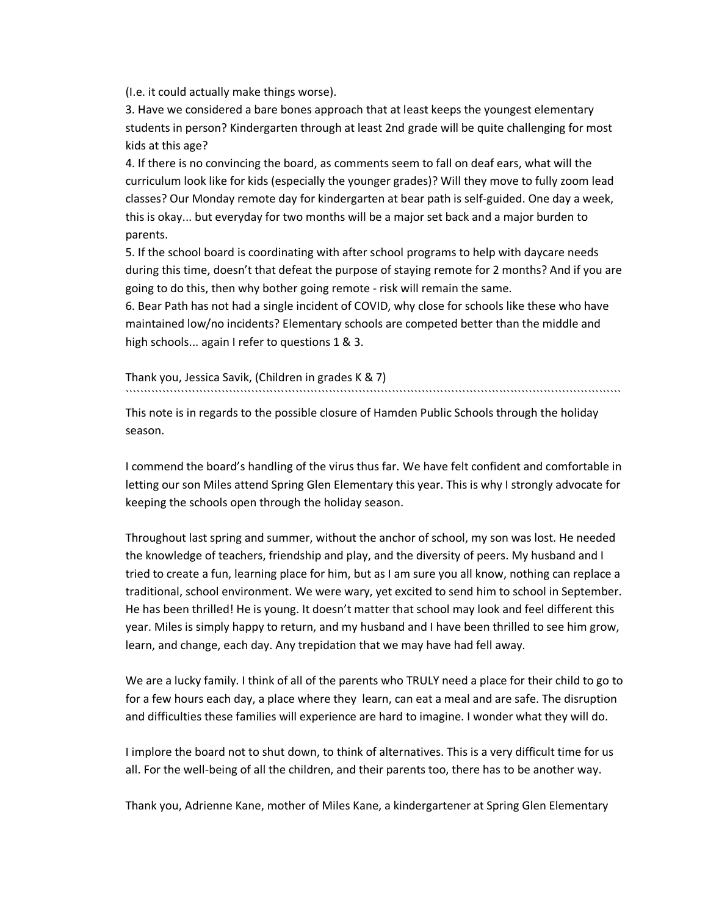(I.e. it could actually make things worse).

3. Have we considered a bare bones approach that at least keeps the youngest elementary students in person? Kindergarten through at least 2nd grade will be quite challenging for most kids at this age?

4. If there is no convincing the board, as comments seem to fall on deaf ears, what will the curriculum look like for kids (especially the younger grades)? Will they move to fully zoom lead classes? Our Monday remote day for kindergarten at bear path is self-guided. One day a week, this is okay... but everyday for two months will be a major set back and a major burden to parents.

5. If the school board is coordinating with after school programs to help with daycare needs during this time, doesn't that defeat the purpose of staying remote for 2 months? And if you are going to do this, then why bother going remote - risk will remain the same.

6. Bear Path has not had a single incident of COVID, why close for schools like these who have maintained low/no incidents? Elementary schools are competed better than the middle and high schools... again I refer to questions 1 & 3.

Thank you, Jessica Savik, (Children in grades K & 7) ``````````````````````````````````````````````````````````````````````````````````````````````````````````````````````````````````````

This note is in regards to the possible closure of Hamden Public Schools through the holiday season.

I commend the board's handling of the virus thus far. We have felt confident and comfortable in letting our son Miles attend Spring Glen Elementary this year. This is why I strongly advocate for keeping the schools open through the holiday season.

Throughout last spring and summer, without the anchor of school, my son was lost. He needed the knowledge of teachers, friendship and play, and the diversity of peers. My husband and I tried to create a fun, learning place for him, but as I am sure you all know, nothing can replace a traditional, school environment. We were wary, yet excited to send him to school in September. He has been thrilled! He is young. It doesn't matter that school may look and feel different this year. Miles is simply happy to return, and my husband and I have been thrilled to see him grow, learn, and change, each day. Any trepidation that we may have had fell away.

We are a lucky family. I think of all of the parents who TRULY need a place for their child to go to for a few hours each day, a place where they learn, can eat a meal and are safe. The disruption and difficulties these families will experience are hard to imagine. I wonder what they will do.

I implore the board not to shut down, to think of alternatives. This is a very difficult time for us all. For the well-being of all the children, and their parents too, there has to be another way.

Thank you, Adrienne Kane, mother of Miles Kane, a kindergartener at Spring Glen Elementary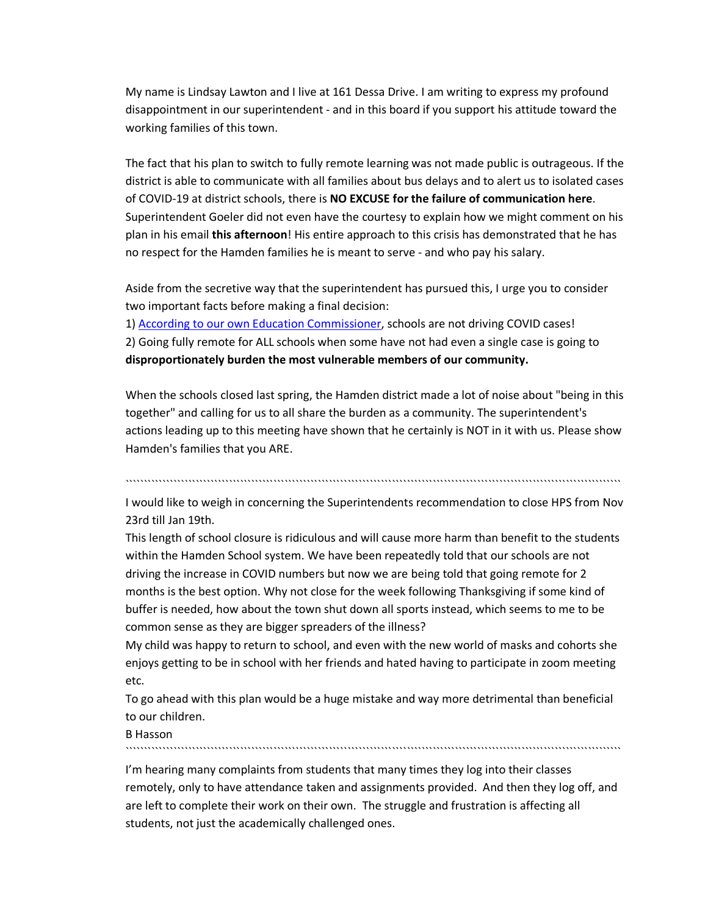My name is Lindsay Lawton and I live at 161 Dessa Drive. I am writing to express my profound disappointment in our superintendent - and in this board if you support his attitude toward the working families of this town.

The fact that his plan to switch to fully remote learning was not made public is outrageous. If the district is able to communicate with all families about bus delays and to alert us to isolated cases of COVID-19 at district schools, there is **NO EXCUSE for the failure of communication here**. Superintendent Goeler did not even have the courtesy to explain how we might comment on his plan in his email **this afternoon**! His entire approach to this crisis has demonstrated that he has no respect for the Hamden families he is meant to serve - and who pay his salary.

Aside from the secretive way that the superintendent has pursued this, I urge you to consider two important facts before making a final decision:

1) According to our own Education Commissioner, schools are not driving COVID cases! 2) Going fully remote for ALL schools when some have not had even a single case is going to **disproportionately burden the most vulnerable members of our community.**

When the schools closed last spring, the Hamden district made a lot of noise about "being in this together" and calling for us to all share the burden as a community. The superintendent's actions leading up to this meeting have shown that he certainly is NOT in it with us. Please show Hamden's families that you ARE.

``````````````````````````````````````````````````````````````````````````````````````````````````````````````````````````````````````

I would like to weigh in concerning the Superintendents recommendation to close HPS from Nov 23rd till Jan 19th.

This length of school closure is ridiculous and will cause more harm than benefit to the students within the Hamden School system. We have been repeatedly told that our schools are not driving the increase in COVID numbers but now we are being told that going remote for 2 months is the best option. Why not close for the week following Thanksgiving if some kind of buffer is needed, how about the town shut down all sports instead, which seems to me to be common sense as they are bigger spreaders of the illness?

My child was happy to return to school, and even with the new world of masks and cohorts she enjoys getting to be in school with her friends and hated having to participate in zoom meeting etc.

To go ahead with this plan would be a huge mistake and way more detrimental than beneficial to our children.

B Hasson

``````````````````````````````````````````````````````````````````````````````````````````````````````````````````````````````````````

I'm hearing many complaints from students that many times they log into their classes remotely, only to have attendance taken and assignments provided. And then they log off, and are left to complete their work on their own. The struggle and frustration is affecting all students, not just the academically challenged ones.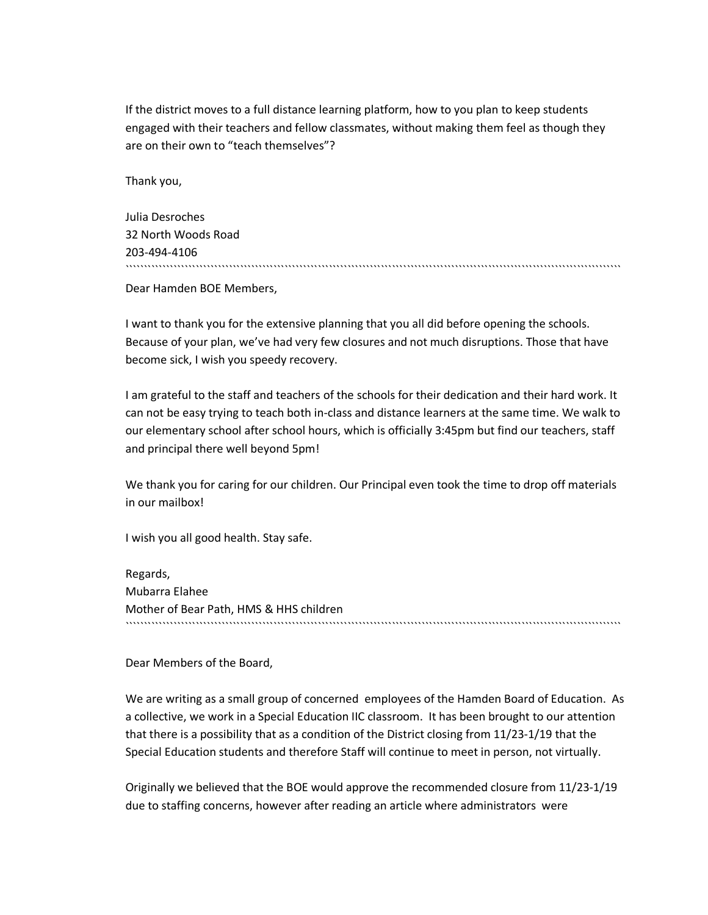If the district moves to a full distance learning platform, how to you plan to keep students engaged with their teachers and fellow classmates, without making them feel as though they are on their own to "teach themselves"?

Thank you,

| Julia Desroches     |  |
|---------------------|--|
| 32 North Woods Road |  |
| 203-494-4106        |  |
|                     |  |

Dear Hamden BOE Members,

I want to thank you for the extensive planning that you all did before opening the schools. Because of your plan, we've had very few closures and not much disruptions. Those that have become sick, I wish you speedy recovery.

I am grateful to the staff and teachers of the schools for their dedication and their hard work. It can not be easy trying to teach both in-class and distance learners at the same time. We walk to our elementary school after school hours, which is officially 3:45pm but find our teachers, staff and principal there well beyond 5pm!

We thank you for caring for our children. Our Principal even took the time to drop off materials in our mailbox!

I wish you all good health. Stay safe.

Regards, Mubarra Elahee Mother of Bear Path, HMS & HHS children ``````````````````````````````````````````````````````````````````````````````````````````````````````````````````````````````````````

Dear Members of the Board,

We are writing as a small group of concerned employees of the Hamden Board of Education. As a collective, we work in a Special Education IIC classroom. It has been brought to our attention that there is a possibility that as a condition of the District closing from 11/23-1/19 that the Special Education students and therefore Staff will continue to meet in person, not virtually.

Originally we believed that the BOE would approve the recommended closure from 11/23-1/19 due to staffing concerns, however after reading an article where administrators were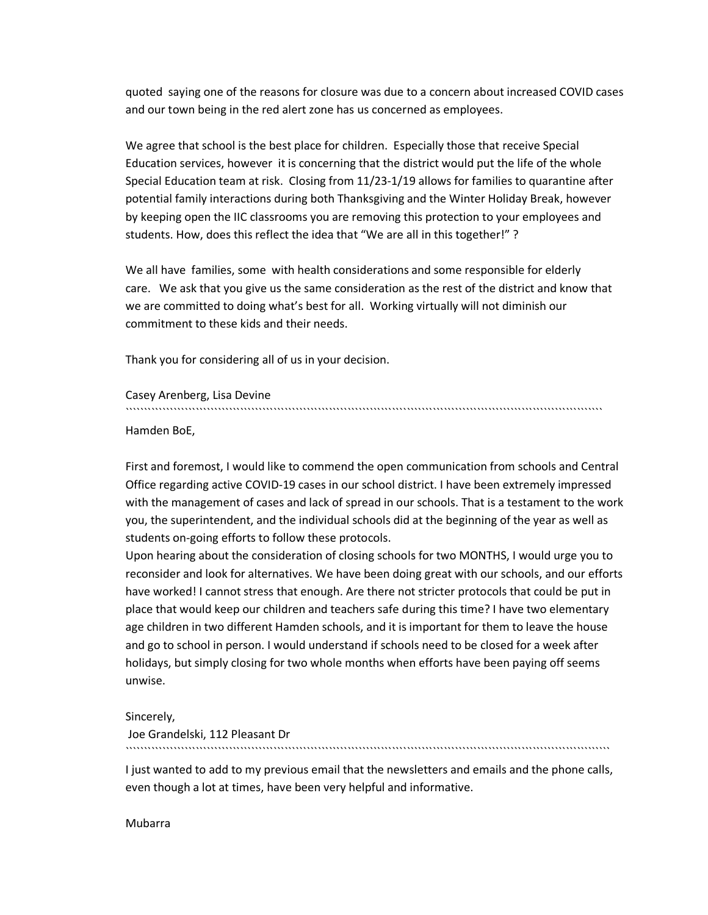quoted saying one of the reasons for closure was due to a concern about increased COVID cases and our town being in the red alert zone has us concerned as employees.

We agree that school is the best place for children. Especially those that receive Special Education services, however it is concerning that the district would put the life of the whole Special Education team at risk. Closing from 11/23-1/19 allows for families to quarantine after potential family interactions during both Thanksgiving and the Winter Holiday Break, however by keeping open the IIC classrooms you are removing this protection to your employees and students. How, does this reflect the idea that "We are all in this together!" ?

We all have families, some with health considerations and some responsible for elderly care. We ask that you give us the same consideration as the rest of the district and know that we are committed to doing what's best for all. Working virtually will not diminish our commitment to these kids and their needs.

Thank you for considering all of us in your decision.

Casey Arenberg, Lisa Devine

`````````````````````````````````````````````````````````````````````````````````````````````````````````````````````````````````

Hamden BoE,

First and foremost, I would like to commend the open communication from schools and Central Office regarding active COVID-19 cases in our school district. I have been extremely impressed with the management of cases and lack of spread in our schools. That is a testament to the work you, the superintendent, and the individual schools did at the beginning of the year as well as students on-going efforts to follow these protocols.

Upon hearing about the consideration of closing schools for two MONTHS, I would urge you to reconsider and look for alternatives. We have been doing great with our schools, and our efforts have worked! I cannot stress that enough. Are there not stricter protocols that could be put in place that would keep our children and teachers safe during this time? I have two elementary age children in two different Hamden schools, and it is important for them to leave the house and go to school in person. I would understand if schools need to be closed for a week after holidays, but simply closing for two whole months when efforts have been paying off seems unwise.

Sincerely,

Joe Grandelski, 112 Pleasant Dr ```````````````````````````````````````````````````````````````````````````````````````````````````````````````````````````````````

I just wanted to add to my previous email that the newsletters and emails and the phone calls, even though a lot at times, have been very helpful and informative.

Mubarra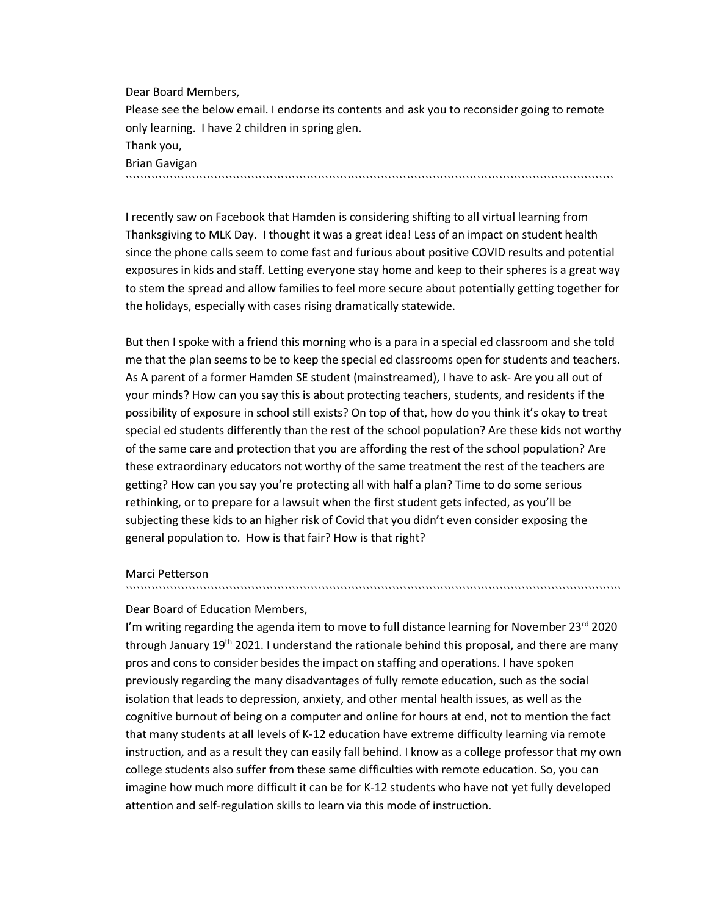Dear Board Members, Please see the below email. I endorse its contents and ask you to reconsider going to remote only learning. I have 2 children in spring glen. Thank you, Brian Gavigan ````````````````````````````````````````````````````````````````````````````````````````````````````````````````````````````````````

I recently saw on Facebook that Hamden is considering shifting to all virtual learning from Thanksgiving to MLK Day. I thought it was a great idea! Less of an impact on student health since the phone calls seem to come fast and furious about positive COVID results and potential exposures in kids and staff. Letting everyone stay home and keep to their spheres is a great way to stem the spread and allow families to feel more secure about potentially getting together for the holidays, especially with cases rising dramatically statewide.

But then I spoke with a friend this morning who is a para in a special ed classroom and she told me that the plan seems to be to keep the special ed classrooms open for students and teachers. As A parent of a former Hamden SE student (mainstreamed), I have to ask- Are you all out of your minds? How can you say this is about protecting teachers, students, and residents if the possibility of exposure in school still exists? On top of that, how do you think it's okay to treat special ed students differently than the rest of the school population? Are these kids not worthy of the same care and protection that you are affording the rest of the school population? Are these extraordinary educators not worthy of the same treatment the rest of the teachers are getting? How can you say you're protecting all with half a plan? Time to do some serious rethinking, or to prepare for a lawsuit when the first student gets infected, as you'll be subjecting these kids to an higher risk of Covid that you didn't even consider exposing the general population to. How is that fair? How is that right?

#### Marci Petterson

#### Dear Board of Education Members,

I'm writing regarding the agenda item to move to full distance learning for November  $23^{\text{rd}}$  2020 through January 19<sup>th</sup> 2021. I understand the rationale behind this proposal, and there are many pros and cons to consider besides the impact on staffing and operations. I have spoken previously regarding the many disadvantages of fully remote education, such as the social isolation that leads to depression, anxiety, and other mental health issues, as well as the cognitive burnout of being on a computer and online for hours at end, not to mention the fact that many students at all levels of K-12 education have extreme difficulty learning via remote instruction, and as a result they can easily fall behind. I know as a college professor that my own college students also suffer from these same difficulties with remote education. So, you can imagine how much more difficult it can be for K-12 students who have not yet fully developed attention and self-regulation skills to learn via this mode of instruction.

``````````````````````````````````````````````````````````````````````````````````````````````````````````````````````````````````````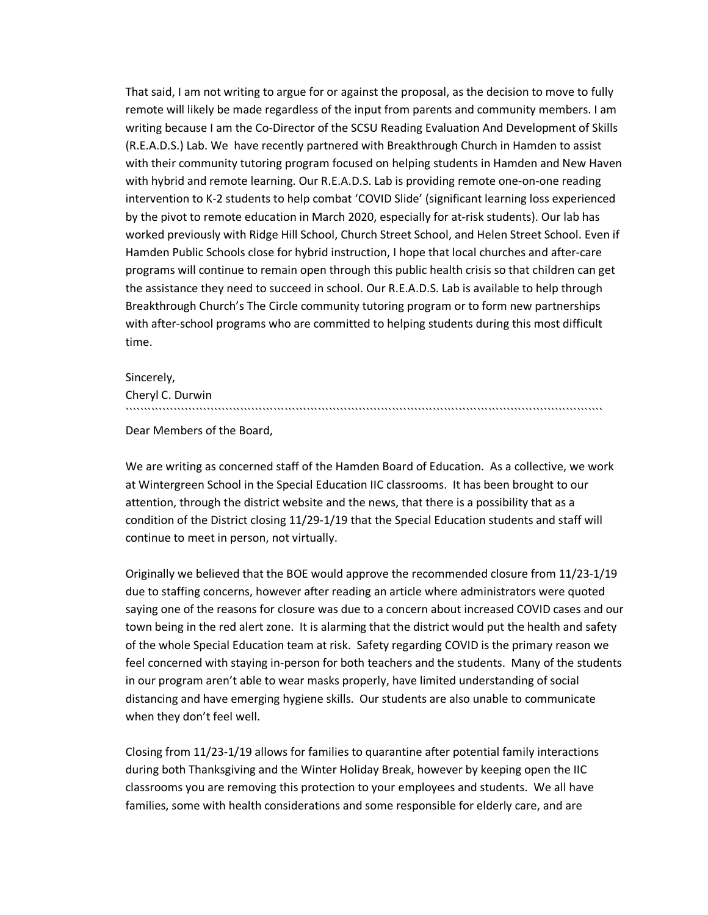That said, I am not writing to argue for or against the proposal, as the decision to move to fully remote will likely be made regardless of the input from parents and community members. I am writing because I am the Co-Director of the SCSU Reading Evaluation And Development of Skills (R.E.A.D.S.) Lab. We have recently partnered with Breakthrough Church in Hamden to assist with their community tutoring program focused on helping students in Hamden and New Haven with hybrid and remote learning. Our R.E.A.D.S. Lab is providing remote one-on-one reading intervention to K-2 students to help combat 'COVID Slide' (significant learning loss experienced by the pivot to remote education in March 2020, especially for at-risk students). Our lab has worked previously with Ridge Hill School, Church Street School, and Helen Street School. Even if Hamden Public Schools close for hybrid instruction, I hope that local churches and after-care programs will continue to remain open through this public health crisis so that children can get the assistance they need to succeed in school. Our R.E.A.D.S. Lab is available to help through Breakthrough Church's The Circle community tutoring program or to form new partnerships with after-school programs who are committed to helping students during this most difficult time.

Sincerely,

Cheryl C. Durwin

Dear Members of the Board,

We are writing as concerned staff of the Hamden Board of Education. As a collective, we work at Wintergreen School in the Special Education IIC classrooms. It has been brought to our attention, through the district website and the news, that there is a possibility that as a condition of the District closing 11/29-1/19 that the Special Education students and staff will continue to meet in person, not virtually.

`````````````````````````````````````````````````````````````````````````````````````````````````````````````````````````````````

Originally we believed that the BOE would approve the recommended closure from 11/23-1/19 due to staffing concerns, however after reading an article where administrators were quoted saying one of the reasons for closure was due to a concern about increased COVID cases and our town being in the red alert zone. It is alarming that the district would put the health and safety of the whole Special Education team at risk. Safety regarding COVID is the primary reason we feel concerned with staying in-person for both teachers and the students. Many of the students in our program aren't able to wear masks properly, have limited understanding of social distancing and have emerging hygiene skills. Our students are also unable to communicate when they don't feel well.

Closing from 11/23-1/19 allows for families to quarantine after potential family interactions during both Thanksgiving and the Winter Holiday Break, however by keeping open the IIC classrooms you are removing this protection to your employees and students. We all have families, some with health considerations and some responsible for elderly care, and are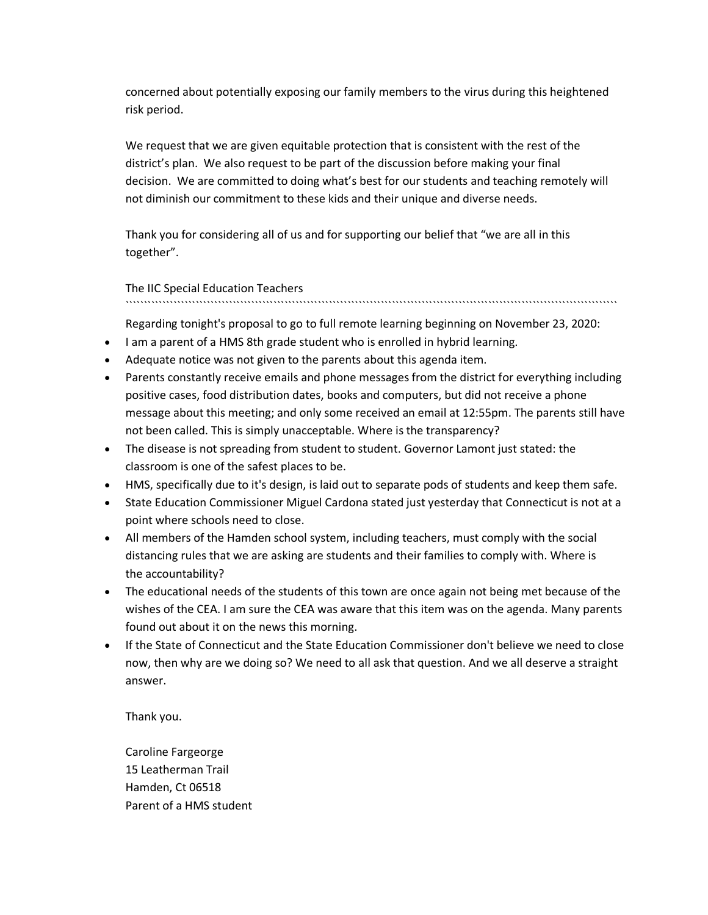concerned about potentially exposing our family members to the virus during this heightened risk period.

We request that we are given equitable protection that is consistent with the rest of the district's plan. We also request to be part of the discussion before making your final decision. We are committed to doing what's best for our students and teaching remotely will not diminish our commitment to these kids and their unique and diverse needs.

Thank you for considering all of us and for supporting our belief that "we are all in this together".

The IIC Special Education Teachers

`````````````````````````````````````````````````````````````````````````````````````````````````````````````````````````````````````

Regarding tonight's proposal to go to full remote learning beginning on November 23, 2020:

- I am a parent of a HMS 8th grade student who is enrolled in hybrid learning.
- Adequate notice was not given to the parents about this agenda item.
- Parents constantly receive emails and phone messages from the district for everything including positive cases, food distribution dates, books and computers, but did not receive a phone message about this meeting; and only some received an email at 12:55pm. The parents still have not been called. This is simply unacceptable. Where is the transparency?
- The disease is not spreading from student to student. Governor Lamont just stated: the classroom is one of the safest places to be.
- HMS, specifically due to it's design, is laid out to separate pods of students and keep them safe.
- State Education Commissioner Miguel Cardona stated just yesterday that Connecticut is not at a point where schools need to close.
- All members of the Hamden school system, including teachers, must comply with the social distancing rules that we are asking are students and their families to comply with. Where is the accountability?
- The educational needs of the students of this town are once again not being met because of the wishes of the CEA. I am sure the CEA was aware that this item was on the agenda. Many parents found out about it on the news this morning.
- If the State of Connecticut and the State Education Commissioner don't believe we need to close now, then why are we doing so? We need to all ask that question. And we all deserve a straight answer.

Thank you.

Caroline Fargeorge 15 Leatherman Trail Hamden, Ct 06518 Parent of a HMS student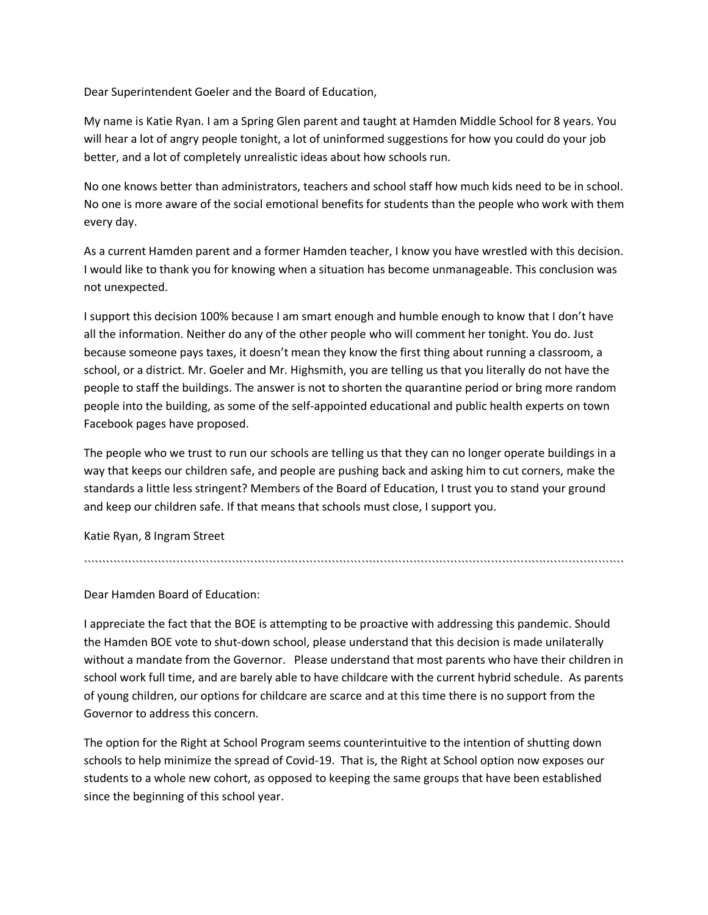Dear Superintendent Goeler and the Board of Education,

My name is Katie Ryan. I am a Spring Glen parent and taught at Hamden Middle School for 8 years. You will hear a lot of angry people tonight, a lot of uninformed suggestions for how you could do your job better, and a lot of completely unrealistic ideas about how schools run.

No one knows better than administrators, teachers and school staff how much kids need to be in school. No one is more aware of the social emotional benefits for students than the people who work with them every day.

As a current Hamden parent and a former Hamden teacher, I know you have wrestled with this decision. I would like to thank you for knowing when a situation has become unmanageable. This conclusion was not unexpected.

I support this decision 100% because I am smart enough and humble enough to know that I don't have all the information. Neither do any of the other people who will comment her tonight. You do. Just because someone pays taxes, it doesn't mean they know the first thing about running a classroom, a school, or a district. Mr. Goeler and Mr. Highsmith, you are telling us that you literally do not have the people to staff the buildings. The answer is not to shorten the quarantine period or bring more random people into the building, as some of the self-appointed educational and public health experts on town Facebook pages have proposed.

The people who we trust to run our schools are telling us that they can no longer operate buildings in a way that keeps our children safe, and people are pushing back and asking him to cut corners, make the standards a little less stringent? Members of the Board of Education, I trust you to stand your ground and keep our children safe. If that means that schools must close, I support you.

``````````````````````````````````````````````````````````````````````````````````````````````````````````````````````````````````````````````````

Katie Ryan, 8 Ingram Street

Dear Hamden Board of Education:

I appreciate the fact that the BOE is attempting to be proactive with addressing this pandemic. Should the Hamden BOE vote to shut-down school, please understand that this decision is made unilaterally without a mandate from the Governor. Please understand that most parents who have their children in school work full time, and are barely able to have childcare with the current hybrid schedule. As parents of young children, our options for childcare are scarce and at this time there is no support from the Governor to address this concern.

The option for the Right at School Program seems counterintuitive to the intention of shutting down schools to help minimize the spread of Covid-19. That is, the Right at School option now exposes our students to a whole new cohort, as opposed to keeping the same groups that have been established since the beginning of this school year.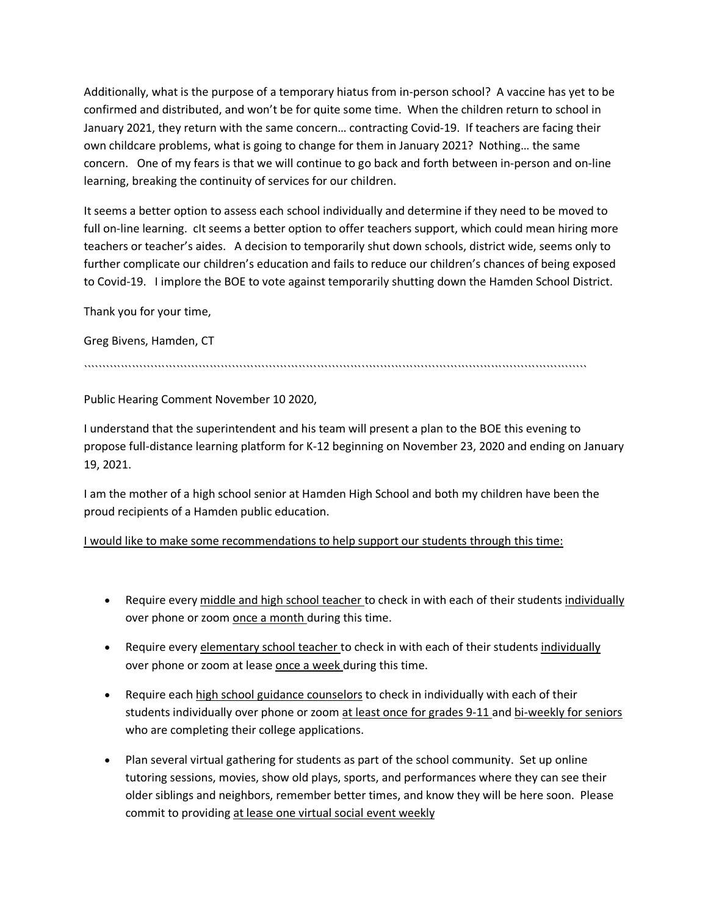Additionally, what is the purpose of a temporary hiatus from in-person school? A vaccine has yet to be confirmed and distributed, and won't be for quite some time. When the children return to school in January 2021, they return with the same concern… contracting Covid-19. If teachers are facing their own childcare problems, what is going to change for them in January 2021? Nothing… the same concern. One of my fears is that we will continue to go back and forth between in-person and on-line learning, breaking the continuity of services for our children.

It seems a better option to assess each school individually and determine if they need to be moved to full on-line learning. cIt seems a better option to offer teachers support, which could mean hiring more teachers or teacher's aides. A decision to temporarily shut down schools, district wide, seems only to further complicate our children's education and fails to reduce our children's chances of being exposed to Covid-19. I implore the BOE to vote against temporarily shutting down the Hamden School District.

Thank you for your time,

Greg Bivens, Hamden, CT

````````````````````````````````````````````````````````````````````````````````````````````````````````````````````````````````````````

Public Hearing Comment November 10 2020,

I understand that the superintendent and his team will present a plan to the BOE this evening to propose full-distance learning platform for K-12 beginning on November 23, 2020 and ending on January 19, 2021.

I am the mother of a high school senior at Hamden High School and both my children have been the proud recipients of a Hamden public education.

I would like to make some recommendations to help support our students through this time:

- Require every middle and high school teacher to check in with each of their students individually over phone or zoom once a month during this time.
- Require every elementary school teacher to check in with each of their students individually over phone or zoom at lease once a week during this time.
- Require each high school guidance counselors to check in individually with each of their students individually over phone or zoom at least once for grades 9-11 and bi-weekly for seniors who are completing their college applications.
- Plan several virtual gathering for students as part of the school community. Set up online tutoring sessions, movies, show old plays, sports, and performances where they can see their older siblings and neighbors, remember better times, and know they will be here soon. Please commit to providing at lease one virtual social event weekly